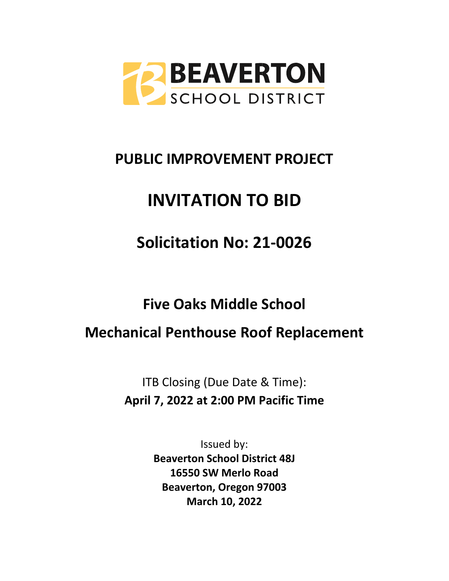

# **PUBLIC IMPROVEMENT PROJECT**

# **INVITATION TO BID**

**Solicitation No: 21-0026**

**Five Oaks Middle School**

**Mechanical Penthouse Roof Replacement**

ITB Closing (Due Date & Time): **April 7, 2022 at 2:00 PM Pacific Time**

> Issued by: **Beaverton School District 48J 16550 SW Merlo Road Beaverton, Oregon 97003 March 10, 2022**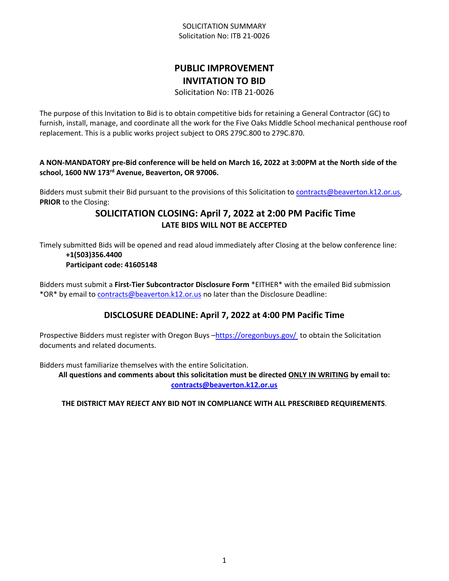#### SOLICITATION SUMMARY Solicitation No: ITB 21-0026

## **PUBLIC IMPROVEMENT INVITATION TO BID**

Solicitation No: ITB 21-0026

The purpose of this Invitation to Bid is to obtain competitive bids for retaining a General Contractor (GC) to furnish, install, manage, and coordinate all the work for the Five Oaks Middle School mechanical penthouse roof replacement. This is a public works project subject to ORS 279C.800 to 279C.870.

**A NON-MANDATORY pre-Bid conference will be held on March 16, 2022 at 3:00PM at the North side of the school, 1600 NW 173rd Avenue, Beaverton, OR 97006.** 

Bidders must submit their Bid pursuant to the provisions of this Solicitation to [contracts@beaverton.k12.or.us,](mailto:contracts@beaverton.k12.or.us) **PRIOR** to the Closing:

## **SOLICITATION CLOSING: April 7, 2022 at 2:00 PM Pacific Time LATE BIDS WILL NOT BE ACCEPTED**

Timely submitted Bids will be opened and read aloud immediately after Closing at the below conference line: **+1(503)356.4400**

#### **Participant code: 41605148**

Bidders must submit a **First-Tier Subcontractor Disclosure Form** \*EITHER\* with the emailed Bid submission \*OR\* by email to [contracts@beaverton.k12.or.us](mailto:contracts@beaverton.k12.or.us) no later than the Disclosure Deadline:

## **DISCLOSURE DEADLINE: April 7, 2022 at 4:00 PM Pacific Time**

Prospective Bidders must register with Oregon Buys -<https://oregonbuys.gov/>to obtain the Solicitation documents and related documents.

Bidders must familiarize themselves with the entire Solicitation.

**All questions and comments about this solicitation must be directed ONLY IN WRITING by email to: [contracts@beaverton.k12.or.us](mailto:contracts@beaverton.k12.or.us)**

## **THE DISTRICT MAY REJECT ANY BID NOT IN COMPLIANCE WITH ALL PRESCRIBED REQUIREMENTS**.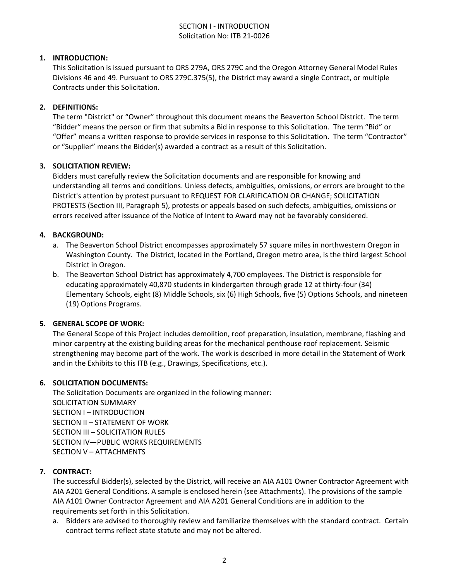#### SECTION I - INTRODUCTION Solicitation No: ITB 21-0026

#### **1. INTRODUCTION:**

This Solicitation is issued pursuant to ORS 279A, ORS 279C and the Oregon Attorney General Model Rules Divisions 46 and 49. Pursuant to ORS 279C.375(5), the District may award a single Contract, or multiple Contracts under this Solicitation.

#### **2. DEFINITIONS:**

The term "District" or "Owner" throughout this document means the Beaverton School District. The term "Bidder" means the person or firm that submits a Bid in response to this Solicitation. The term "Bid" or "Offer" means a written response to provide services in response to this Solicitation. The term "Contractor" or "Supplier" means the Bidder(s) awarded a contract as a result of this Solicitation.

#### **3. SOLICITATION REVIEW:**

Bidders must carefully review the Solicitation documents and are responsible for knowing and understanding all terms and conditions. Unless defects, ambiguities, omissions, or errors are brought to the District's attention by protest pursuant to REQUEST FOR CLARIFICATION OR CHANGE; SOLICITATION PROTESTS (Section III, Paragraph 5), protests or appeals based on such defects, ambiguities, omissions or errors received after issuance of the Notice of Intent to Award may not be favorably considered.

#### **4. BACKGROUND:**

- a. The Beaverton School District encompasses approximately 57 square miles in northwestern Oregon in Washington County. The District, located in the Portland, Oregon metro area, is the third largest School District in Oregon.
- b. The Beaverton School District has approximately 4,700 employees. The District is responsible for educating approximately 40,870 students in kindergarten through grade 12 at thirty-four (34) Elementary Schools, eight (8) Middle Schools, six (6) High Schools, five (5) Options Schools, and nineteen (19) Options Programs.

#### **5. GENERAL SCOPE OF WORK:**

The General Scope of this Project includes demolition, roof preparation, insulation, membrane, flashing and minor carpentry at the existing building areas for the mechanical penthouse roof replacement. Seismic strengthening may become part of the work. The work is described in more detail in the Statement of Work and in the Exhibits to this ITB (e.g., Drawings, Specifications, etc.).

#### **6. SOLICITATION DOCUMENTS:**

The Solicitation Documents are organized in the following manner: SOLICITATION SUMMARY SECTION I – INTRODUCTION SECTION II – STATEMENT OF WORK SECTION III – SOLICITATION RULES SECTION IV—PUBLIC WORKS REQUIREMENTS SECTION V – ATTACHMENTS

#### **7. CONTRACT:**

The successful Bidder(s), selected by the District, will receive an AIA A101 Owner Contractor Agreement with AIA A201 General Conditions. A sample is enclosed herein (see Attachments). The provisions of the sample AIA A101 Owner Contractor Agreement and AIA A201 General Conditions are in addition to the requirements set forth in this Solicitation.

a. Bidders are advised to thoroughly review and familiarize themselves with the standard contract. Certain contract terms reflect state statute and may not be altered.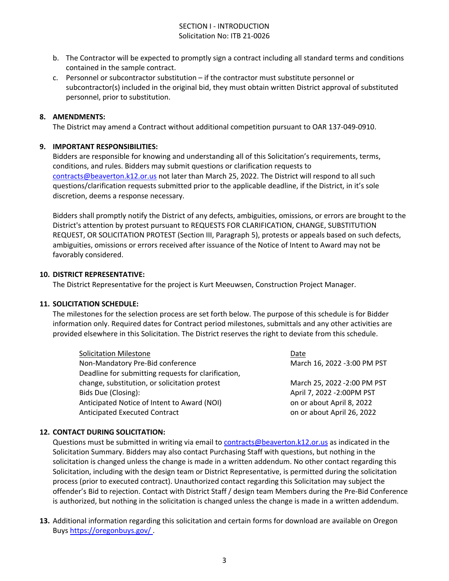#### SECTION I - INTRODUCTION Solicitation No: ITB 21-0026

- b. The Contractor will be expected to promptly sign a contract including all standard terms and conditions contained in the sample contract.
- c. Personnel or subcontractor substitution if the contractor must substitute personnel or subcontractor(s) included in the original bid, they must obtain written District approval of substituted personnel, prior to substitution.

#### **8. AMENDMENTS:**

The District may amend a Contract without additional competition pursuant to OAR 137-049-0910.

#### **9. IMPORTANT RESPONSIBILITIES:**

Bidders are responsible for knowing and understanding all of this Solicitation's requirements, terms, conditions, and rules. Bidders may submit questions or clarification requests to [contracts@beaverton.k12.or.us](mailto:contracts@beaverton.k12.or.us) not later than March 25, 2022. The District will respond to all such questions/clarification requests submitted prior to the applicable deadline, if the District, in it's sole discretion, deems a response necessary.

Bidders shall promptly notify the District of any defects, ambiguities, omissions, or errors are brought to the District's attention by protest pursuant to REQUESTS FOR CLARIFICATION, CHANGE, SUBSTITUTION REQUEST, OR SOLICITATION PROTEST (Section III, Paragraph 5), protests or appeals based on such defects, ambiguities, omissions or errors received after issuance of the Notice of Intent to Award may not be favorably considered.

#### **10. DISTRICT REPRESENTATIVE:**

The District Representative for the project is Kurt Meeuwsen, Construction Project Manager.

#### **11. SOLICITATION SCHEDULE:**

The milestones for the selection process are set forth below. The purpose of this schedule is for Bidder information only. Required dates for Contract period milestones, submittals and any other activities are provided elsewhere in this Solicitation. The District reserves the right to deviate from this schedule.

| <b>Solicitation Milestone</b>                       | Date                         |
|-----------------------------------------------------|------------------------------|
| Non-Mandatory Pre-Bid conference                    | March 16, 2022 -3:00 PM PST  |
| Deadline for submitting requests for clarification, |                              |
| change, substitution, or solicitation protest       | March 25, 2022 - 2:00 PM PST |
| Bids Due (Closing):                                 | April 7, 2022 - 2:00PM PST   |
| Anticipated Notice of Intent to Award (NOI)         | on or about April 8, 2022    |
| <b>Anticipated Executed Contract</b>                | on or about April 26, 2022   |

#### **12. CONTACT DURING SOLICITATION:**

Questions must be submitted in writing via email to [contracts@beaverton.k12.or.us](mailto:contracts@beaverton.k12.or.us) as indicated in the Solicitation Summary. Bidders may also contact Purchasing Staff with questions, but nothing in the solicitation is changed unless the change is made in a written addendum. No other contact regarding this Solicitation, including with the design team or District Representative, is permitted during the solicitation process (prior to executed contract). Unauthorized contact regarding this Solicitation may subject the offender's Bid to rejection. Contact with District Staff / design team Members during the Pre-Bid Conference is authorized, but nothing in the solicitation is changed unless the change is made in a written addendum.

**13.** Additional information regarding this solicitation and certain forms for download are available on Oregon Buys <https://oregonbuys.gov/> .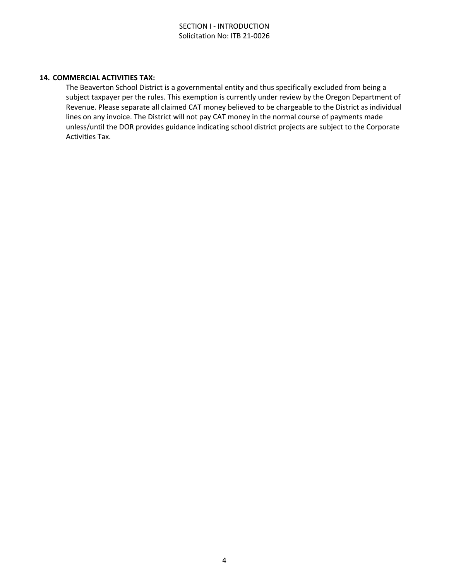#### **14. COMMERCIAL ACTIVITIES TAX:**

The Beaverton School District is a governmental entity and thus specifically excluded from being a subject taxpayer per the rules. This exemption is currently under review by the Oregon Department of Revenue. Please separate all claimed CAT money believed to be chargeable to the District as individual lines on any invoice. The District will not pay CAT money in the normal course of payments made unless/until the DOR provides guidance indicating school district projects are subject to the Corporate Activities Tax.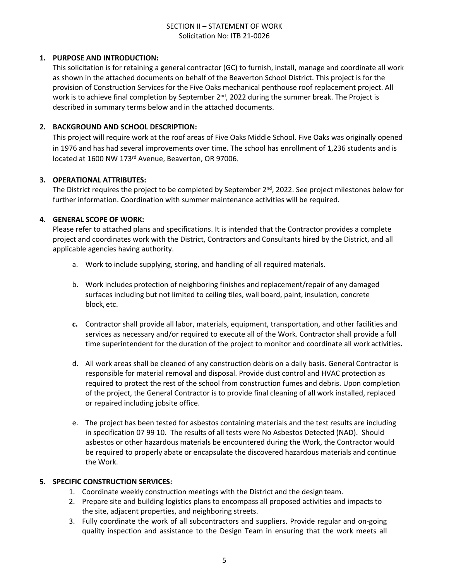#### **1. PURPOSE AND INTRODUCTION:**

This solicitation is for retaining a general contractor (GC) to furnish, install, manage and coordinate all work as shown in the attached documents on behalf of the Beaverton School District. This project is for the provision of Construction Services for the Five Oaks mechanical penthouse roof replacement project. All work is to achieve final completion by September 2<sup>nd</sup>, 2022 during the summer break. The Project is described in summary terms below and in the attached documents.

#### **2. BACKGROUND AND SCHOOL DESCRIPTION:**

This project will require work at the roof areas of Five Oaks Middle School. Five Oaks was originally opened in 1976 and has had several improvements over time. The school has enrollment of 1,236 students and is located at 1600 NW 173rd Avenue, Beaverton, OR 97006.

#### **3. OPERATIONAL ATTRIBUTES:**

The District requires the project to be completed by September 2<sup>nd</sup>, 2022. See project milestones below for further information. Coordination with summer maintenance activities will be required.

#### **4. GENERAL SCOPE OF WORK:**

Please refer to attached plans and specifications. It is intended that the Contractor provides a complete project and coordinates work with the District, Contractors and Consultants hired by the District, and all applicable agencies having authority.

- a. Work to include supplying, storing, and handling of all required materials.
- b. Work includes protection of neighboring finishes and replacement/repair of any damaged surfaces including but not limited to ceiling tiles, wall board, paint, insulation, concrete block, etc.
- **c.** Contractor shall provide all labor, materials, equipment, transportation, and other facilities and services as necessary and/or required to execute all of the Work. Contractor shall provide a full time superintendent for the duration of the project to monitor and coordinate all work activities**.**
- d. All work areas shall be cleaned of any construction debris on a daily basis. General Contractor is responsible for material removal and disposal. Provide dust control and HVAC protection as required to protect the rest of the school from construction fumes and debris. Upon completion of the project, the General Contractor is to provide final cleaning of all work installed, replaced or repaired including jobsite office.
- e. The project has been tested for asbestos containing materials and the test results are including in specification 07 99 10. The results of all tests were No Asbestos Detected (NAD). Should asbestos or other hazardous materials be encountered during the Work, the Contractor would be required to properly abate or encapsulate the discovered hazardous materials and continue the Work.

#### **5. SPECIFIC CONSTRUCTION SERVICES:**

- 1. Coordinate weekly construction meetings with the District and the design team.
- 2. Prepare site and building logistics plans to encompass all proposed activities and impacts to the site, adjacent properties, and neighboring streets.
- 3. Fully coordinate the work of all subcontractors and suppliers. Provide regular and on-going quality inspection and assistance to the Design Team in ensuring that the work meets all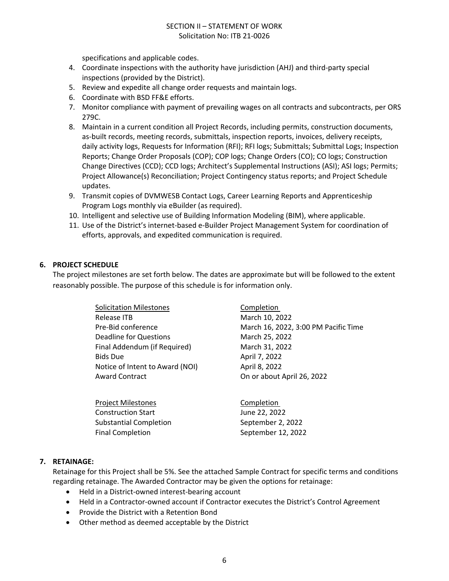specifications and applicable codes.

- 4. Coordinate inspections with the authority have jurisdiction (AHJ) and third-party special inspections (provided by the District).
- 5. Review and expedite all change order requests and maintain logs.
- 6. Coordinate with BSD FF&E efforts.
- 7. Monitor compliance with payment of prevailing wages on all contracts and subcontracts, per ORS 279C.
- 8. Maintain in a current condition all Project Records, including permits, construction documents, as-built records, meeting records, submittals, inspection reports, invoices, delivery receipts, daily activity logs, Requests for Information (RFI); RFI logs; Submittals; Submittal Logs; Inspection Reports; Change Order Proposals (COP); COP logs; Change Orders (CO); CO logs; Construction Change Directives (CCD); CCD logs; Architect's Supplemental Instructions (ASI); ASI logs; Permits; Project Allowance(s) Reconciliation; Project Contingency status reports; and Project Schedule updates.
- 9. Transmit copies of DVMWESB Contact Logs, Career Learning Reports and Apprenticeship Program Logs monthly via eBuilder (as required).
- 10. Intelligent and selective use of Building Information Modeling (BIM), where applicable.
- 11. Use of the District's internet-based e-Builder Project Management System for coordination of efforts, approvals, and expedited communication is required.

#### **6. PROJECT SCHEDULE**

The project milestones are set forth below. The dates are approximate but will be followed to the extent reasonably possible. The purpose of this schedule is for information only.

| <b>Solicitation Milestones</b>  | Completion                           |
|---------------------------------|--------------------------------------|
| Release ITB                     | March 10, 2022                       |
| Pre-Bid conference              | March 16, 2022, 3:00 PM Pacific Time |
| <b>Deadline for Questions</b>   | March 25, 2022                       |
| Final Addendum (if Required)    | March 31, 2022                       |
| <b>Bids Due</b>                 | April 7, 2022                        |
| Notice of Intent to Award (NOI) | April 8, 2022                        |
| <b>Award Contract</b>           | On or about April 26, 2022           |
|                                 |                                      |

Project Milestones **Completion** Construction Start **June 22, 2022** Substantial Completion September 2, 2022 Final Completion September 12, 2022

#### **7. RETAINAGE:**

Retainage for this Project shall be 5%. See the attached Sample Contract for specific terms and conditions regarding retainage. The Awarded Contractor may be given the options for retainage:

- Held in a District-owned interest-bearing account
- Held in a Contractor-owned account if Contractor executes the District's Control Agreement
- Provide the District with a Retention Bond
- Other method as deemed acceptable by the District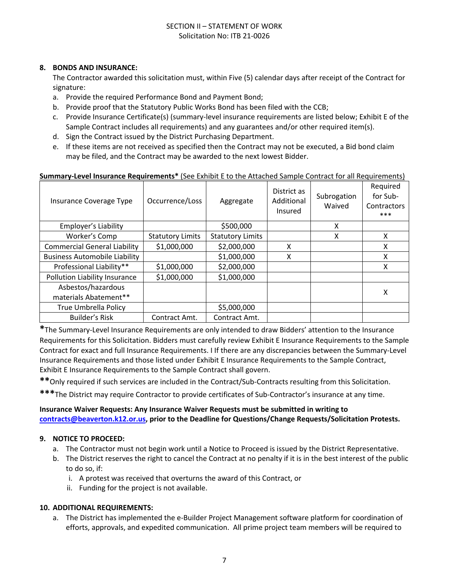#### **8. BONDS AND INSURANCE:**

The Contractor awarded this solicitation must, within Five (5) calendar days after receipt of the Contract for signature:

- a. Provide the required Performance Bond and Payment Bond;
- b. Provide proof that the Statutory Public Works Bond has been filed with the CCB;
- c. Provide Insurance Certificate(s) (summary-level insurance requirements are listed below; Exhibit E of the Sample Contract includes all requirements) and any guarantees and/or other required item(s).
- d. Sign the Contract issued by the District Purchasing Department.
- e. If these items are not received as specified then the Contract may not be executed, a Bid bond claim may be filed, and the Contract may be awarded to the next lowest Bidder.

#### **Summary-Level Insurance Requirements\*** (See Exhibit E to the Attached Sample Contract for all Requirements)

| Insurance Coverage Type              | Occurrence/Loss         | Aggregate               | District as<br>Additional<br>Insured | Subrogation<br>Waived | Required<br>for Sub-<br>Contractors<br>*** |
|--------------------------------------|-------------------------|-------------------------|--------------------------------------|-----------------------|--------------------------------------------|
| Employer's Liability                 |                         | \$500,000               |                                      | X                     |                                            |
| Worker's Comp                        | <b>Statutory Limits</b> | <b>Statutory Limits</b> |                                      | X                     | X                                          |
| <b>Commercial General Liability</b>  | \$1,000,000             | \$2,000,000             | x                                    |                       | x                                          |
| <b>Business Automobile Liability</b> |                         | \$1,000,000             | X                                    |                       | X                                          |
| Professional Liability**             | \$1,000,000             | \$2,000,000             |                                      |                       | X                                          |
| Pollution Liability Insurance        | \$1,000,000             | \$1,000,000             |                                      |                       |                                            |
| Asbestos/hazardous                   |                         |                         |                                      |                       | х                                          |
| materials Abatement**                |                         |                         |                                      |                       |                                            |
| <b>True Umbrella Policy</b>          |                         | \$5,000,000             |                                      |                       |                                            |
| <b>Builder's Risk</b>                | Contract Amt.           | Contract Amt.           |                                      |                       |                                            |

**\***The Summary-Level Insurance Requirements are only intended to draw Bidders' attention to the Insurance Requirements for this Solicitation. Bidders must carefully review Exhibit E Insurance Requirements to the Sample Contract for exact and full Insurance Requirements. I If there are any discrepancies between the Summary-Level Insurance Requirements and those listed under Exhibit E Insurance Requirements to the Sample Contract, Exhibit E Insurance Requirements to the Sample Contract shall govern.

**\*\***Only required if such services are included in the Contract/Sub-Contracts resulting from this Solicitation.

**\*\*\***The District may require Contractor to provide certificates of Sub-Contractor's insurance at any time.

## **Insurance Waiver Requests: Any Insurance Waiver Requests must be submitted in writing to [contracts@beaverton.k12.or.us,](mailto:contracts@beaverton.k12.or.us) prior to the Deadline for Questions/Change Requests/Solicitation Protests.**

#### **9. NOTICE TO PROCEED:**

- a. The Contractor must not begin work until a Notice to Proceed is issued by the District Representative.
- b. The District reserves the right to cancel the Contract at no penalty if it is in the best interest of the public to do so, if:
	- i. A protest was received that overturns the award of this Contract, or
	- ii. Funding for the project is not available.

#### **10. ADDITIONAL REQUIREMENTS:**

a. The District has implemented the e-Builder Project Management software platform for coordination of efforts, approvals, and expedited communication. All prime project team members will be required to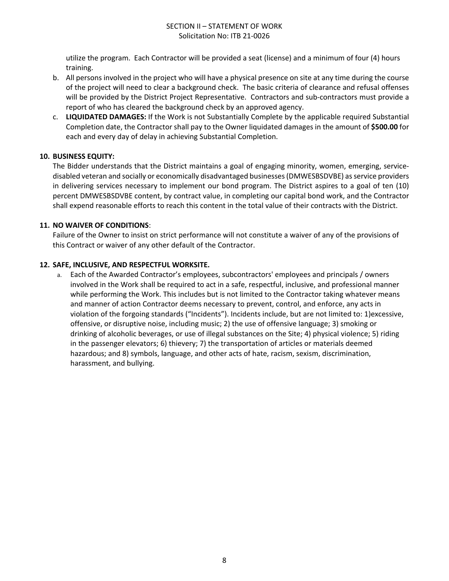utilize the program. Each Contractor will be provided a seat (license) and a minimum of four (4) hours training.

- b. All persons involved in the project who will have a physical presence on site at any time during the course of the project will need to clear a background check. The basic criteria of clearance and refusal offenses will be provided by the District Project Representative. Contractors and sub-contractors must provide a report of who has cleared the background check by an approved agency.
- c. **LIQUIDATED DAMAGES:** If the Work is not Substantially Complete by the applicable required Substantial Completion date, the Contractor shall pay to the Owner liquidated damages in the amount of **\$500.00** for each and every day of delay in achieving Substantial Completion.

#### **10. BUSINESS EQUITY:**

The Bidder understands that the District maintains a goal of engaging minority, women, emerging, servicedisabled veteran and socially or economically disadvantaged businesses (DMWESBSDVBE) as service providers in delivering services necessary to implement our bond program. The District aspires to a goal of ten (10) percent DMWESBSDVBE content, by contract value, in completing our capital bond work, and the Contractor shall expend reasonable efforts to reach this content in the total value of their contracts with the District.

#### **11. NO WAIVER OF CONDITIONS**:

Failure of the Owner to insist on strict performance will not constitute a waiver of any of the provisions of this Contract or waiver of any other default of the Contractor.

#### **12. SAFE, INCLUSIVE, AND RESPECTFUL WORKSITE.**

a. Each of the Awarded Contractor's employees, subcontractors' employees and principals / owners involved in the Work shall be required to act in a safe, respectful, inclusive, and professional manner while performing the Work. This includes but is not limited to the Contractor taking whatever means and manner of action Contractor deems necessary to prevent, control, and enforce, any acts in violation of the forgoing standards ("Incidents"). Incidents include, but are not limited to: 1)excessive, offensive, or disruptive noise, including music; 2) the use of offensive language; 3) smoking or drinking of alcoholic beverages, or use of illegal substances on the Site; 4) physical violence; 5) riding in the passenger elevators; 6) thievery; 7) the transportation of articles or materials deemed hazardous; and 8) symbols, language, and other acts of hate, racism, sexism, discrimination, harassment, and bullying.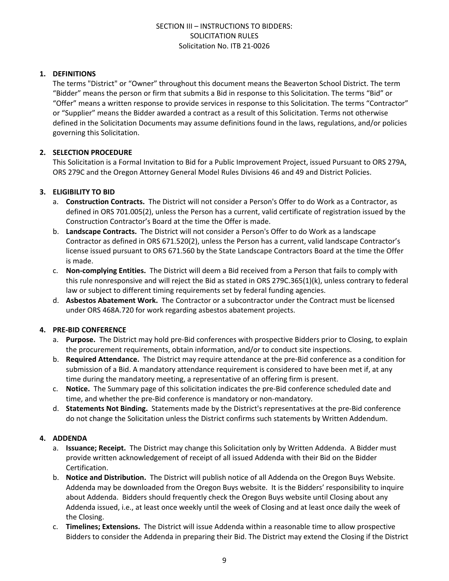#### **1. DEFINITIONS**

The terms "District" or "Owner" throughout this document means the Beaverton School District. The term "Bidder" means the person or firm that submits a Bid in response to this Solicitation. The terms "Bid" or "Offer" means a written response to provide services in response to this Solicitation. The terms "Contractor" or "Supplier" means the Bidder awarded a contract as a result of this Solicitation. Terms not otherwise defined in the Solicitation Documents may assume definitions found in the laws, regulations, and/or policies governing this Solicitation.

#### **2. SELECTION PROCEDURE**

This Solicitation is a Formal Invitation to Bid for a Public Improvement Project, issued Pursuant to ORS 279A, ORS 279C and the Oregon Attorney General Model Rules Divisions 46 and 49 and District Policies.

#### **3. ELIGIBILITY TO BID**

- a. **Construction Contracts.** The District will not consider a Person's Offer to do Work as a Contractor, as defined in ORS 701.005(2), unless the Person has a current, valid certificate of registration issued by the Construction Contractor's Board at the time the Offer is made.
- b. **Landscape Contracts.** The District will not consider a Person's Offer to do Work as a landscape Contractor as defined in ORS 671.520(2), unless the Person has a current, valid landscape Contractor's license issued pursuant to ORS 671.560 by the State Landscape Contractors Board at the time the Offer is made.
- c. **Non-complying Entities.** The District will deem a Bid received from a Person that fails to comply with this rule nonresponsive and will reject the Bid as stated in ORS 279C.365(1)(k), unless contrary to federal law or subject to different timing requirements set by federal funding agencies.
- d. **Asbestos Abatement Work.** The Contractor or a subcontractor under the Contract must be licensed under ORS 468A.720 for work regarding asbestos abatement projects.

#### **4. PRE-BID CONFERENCE**

- a. **Purpose.** The District may hold pre-Bid conferences with prospective Bidders prior to Closing, to explain the procurement requirements, obtain information, and/or to conduct site inspections.
- b. **Required Attendance.** The District may require attendance at the pre-Bid conference as a condition for submission of a Bid. A mandatory attendance requirement is considered to have been met if, at any time during the mandatory meeting, a representative of an offering firm is present.
- c. **Notice.** The Summary page of this solicitation indicates the pre-Bid conference scheduled date and time, and whether the pre-Bid conference is mandatory or non-mandatory.
- d. **Statements Not Binding.** Statements made by the District's representatives at the pre-Bid conference do not change the Solicitation unless the District confirms such statements by Written Addendum.

#### **4. ADDENDA**

- a. **Issuance; Receipt.** The District may change this Solicitation only by Written Addenda. A Bidder must provide written acknowledgement of receipt of all issued Addenda with their Bid on the Bidder Certification.
- b. **Notice and Distribution.** The District will publish notice of all Addenda on the Oregon Buys Website. Addenda may be downloaded from the Oregon Buys website. It is the Bidders' responsibility to inquire about Addenda. Bidders should frequently check the Oregon Buys website until Closing about any Addenda issued, i.e., at least once weekly until the week of Closing and at least once daily the week of the Closing.
- c. **Timelines; Extensions.** The District will issue Addenda within a reasonable time to allow prospective Bidders to consider the Addenda in preparing their Bid. The District may extend the Closing if the District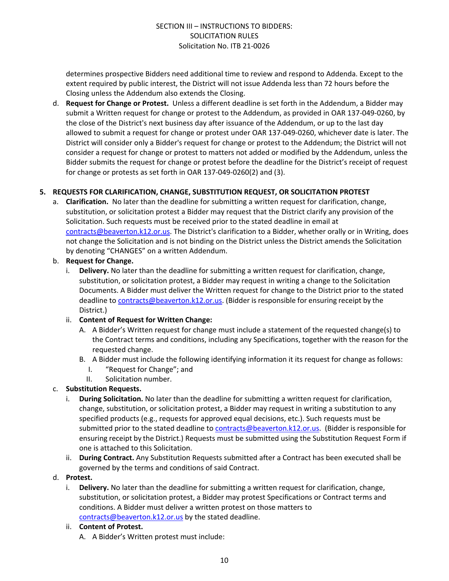determines prospective Bidders need additional time to review and respond to Addenda. Except to the extent required by public interest, the District will not issue Addenda less than 72 hours before the Closing unless the Addendum also extends the Closing.

d. **Request for Change or Protest.** Unless a different deadline is set forth in the Addendum, a Bidder may submit a Written request for change or protest to the Addendum, as provided in OAR 137-049-0260, by the close of the District's next business day after issuance of the Addendum, or up to the last day allowed to submit a request for change or protest under OAR 137-049-0260, whichever date is later. The District will consider only a Bidder's request for change or protest to the Addendum; the District will not consider a request for change or protest to matters not added or modified by the Addendum, unless the Bidder submits the request for change or protest before the deadline for the District's receipt of request for change or protests as set forth in OAR 137-049-0260(2) and (3).

#### **5. REQUESTS FOR CLARIFICATION, CHANGE, SUBSTITUTION REQUEST, OR SOLICITATION PROTEST**

a. **Clarification.** No later than the deadline for submitting a written request for clarification, change, substitution, or solicitation protest a Bidder may request that the District clarify any provision of the Solicitation. Such requests must be received prior to the stated deadline in email at [contracts@beaverton.k12.or.us.](mailto:contracts@beaverton.k12.or.us) The District's clarification to a Bidder, whether orally or in Writing, does not change the Solicitation and is not binding on the District unless the District amends the Solicitation by denoting "CHANGES" on a written Addendum.

#### b. **Request for Change.**

i. **Delivery.** No later than the deadline for submitting a written request for clarification, change, substitution, or solicitation protest, a Bidder may request in writing a change to the Solicitation Documents. A Bidder must deliver the Written request for change to the District prior to the stated deadline to [contracts@beaverton.k12.or.us.](mailto:contracts@beaverton.k12.or.us) (Bidder is responsible for ensuring receipt by the District.)

#### ii. **Content of Request for Written Change:**

- A. A Bidder's Written request for change must include a statement of the requested change(s) to the Contract terms and conditions, including any Specifications, together with the reason for the requested change.
- B. A Bidder must include the following identifying information it its request for change as follows:
	- I. "Request for Change"; and
	- II. Solicitation number.

#### c. **Substitution Requests.**

- i. **During Solicitation.** No later than the deadline for submitting a written request for clarification, change, substitution, or solicitation protest, a Bidder may request in writing a substitution to any specified products (e.g., requests for approved equal decisions, etc.). Such requests must be submitted prior to the stated deadline to [contracts@beaverton.k12.or.us](mailto:contracts@beaverton.k12.or.us). (Bidder is responsible for ensuring receipt by the District.) Requests must be submitted using the Substitution Request Form if one is attached to this Solicitation.
- ii. **During Contract.** Any Substitution Requests submitted after a Contract has been executed shall be governed by the terms and conditions of said Contract.

#### d. **Protest.**

i. **Delivery.** No later than the deadline for submitting a written request for clarification, change, substitution, or solicitation protest, a Bidder may protest Specifications or Contract terms and conditions. A Bidder must deliver a written protest on those matters to [contracts@beaverton.k12.or.us](mailto:contracts@beaverton.k12.or.us) by the stated deadline.

#### ii. **Content of Protest.**

A. A Bidder's Written protest must include: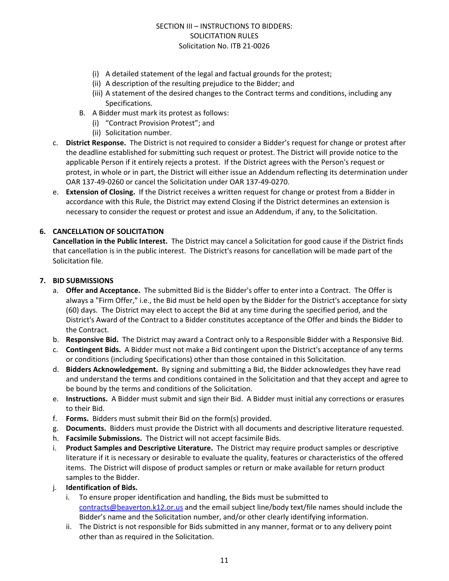- (i) A detailed statement of the legal and factual grounds for the protest;
- (ii) A description of the resulting prejudice to the Bidder; and
- (iii) A statement of the desired changes to the Contract terms and conditions, including any Specifications.
- B. A Bidder must mark its protest as follows:
	- (i) "Contract Provision Protest"; and
	- (ii) Solicitation number.
- c. **District Response.** The District is not required to consider a Bidder's request for change or protest after the deadline established for submitting such request or protest. The District will provide notice to the applicable Person if it entirely rejects a protest. If the District agrees with the Person's request or protest, in whole or in part, the District will either issue an Addendum reflecting its determination under OAR 137-49-0260 or cancel the Solicitation under OAR 137-49-0270.
- e. **Extension of Closing.** If the District receives a written request for change or protest from a Bidder in accordance with this Rule, the District may extend Closing if the District determines an extension is necessary to consider the request or protest and issue an Addendum, if any, to the Solicitation.

#### **6. CANCELLATION OF SOLICITATION**

**Cancellation in the Public Interest.** The District may cancel a Solicitation for good cause if the District finds that cancellation is in the public interest. The District's reasons for cancellation will be made part of the Solicitation file.

#### **7. BID SUBMISSIONS**

- a. **Offer and Acceptance.** The submitted Bid is the Bidder's offer to enter into a Contract. The Offer is always a "Firm Offer," i.e., the Bid must be held open by the Bidder for the District's acceptance for sixty (60) days. The District may elect to accept the Bid at any time during the specified period, and the District's Award of the Contract to a Bidder constitutes acceptance of the Offer and binds the Bidder to the Contract.
- b. **Responsive Bid.** The District may award a Contract only to a Responsible Bidder with a Responsive Bid.
- c. **Contingent Bids.** A Bidder must not make a Bid contingent upon the District's acceptance of any terms or conditions (including Specifications) other than those contained in this Solicitation.
- d. **Bidders Acknowledgement.** By signing and submitting a Bid, the Bidder acknowledges they have read and understand the terms and conditions contained in the Solicitation and that they accept and agree to be bound by the terms and conditions of the Solicitation.
- e. **Instructions.** A Bidder must submit and sign their Bid. A Bidder must initial any corrections or erasures to their Bid.
- f. **Forms.** Bidders must submit their Bid on the form(s) provided.
- g. **Documents.** Bidders must provide the District with all documents and descriptive literature requested.
- h. **Facsimile Submissions.** The District will not accept facsimile Bids.
- i. **Product Samples and Descriptive Literature.** The District may require product samples or descriptive literature if it is necessary or desirable to evaluate the quality, features or characteristics of the offered items. The District will dispose of product samples or return or make available for return product samples to the Bidder.
- j. **Identification of Bids.**
	- i. To ensure proper identification and handling, the Bids must be submitted to [contracts@beaverton.k12.or.us](mailto:contracts@beaverton.k12.or.us) and the email subject line/body text/file names should include the Bidder's name and the Solicitation number, and/or other clearly identifying information.
	- ii. The District is not responsible for Bids submitted in any manner, format or to any delivery point other than as required in the Solicitation.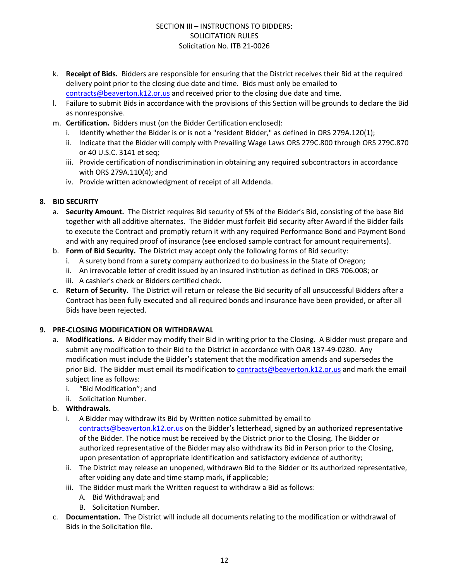- k. **Receipt of Bids.** Bidders are responsible for ensuring that the District receives their Bid at the required delivery point prior to the closing due date and time. Bids must only be emailed to [contracts@beaverton.k12.or.us](mailto:contracts@beaverton.k12.or.us) and received prior to the closing due date and time.
- l. Failure to submit Bids in accordance with the provisions of this Section will be grounds to declare the Bid as nonresponsive.
- m. **Certification.** Bidders must (on the Bidder Certification enclosed):
	- i. Identify whether the Bidder is or is not a "resident Bidder," as defined in ORS 279A.120(1);
	- ii. Indicate that the Bidder will comply with Prevailing Wage Laws ORS 279C.800 through ORS 279C.870 or 40 U.S.C. 3141 et seq;
	- iii. Provide certification of nondiscrimination in obtaining any required subcontractors in accordance with ORS 279A.110(4); and
	- iv. Provide written acknowledgment of receipt of all Addenda.

#### **8. BID SECURITY**

- a. **Security Amount.** The District requires Bid security of 5% of the Bidder's Bid, consisting of the base Bid together with all additive alternates. The Bidder must forfeit Bid security after Award if the Bidder fails to execute the Contract and promptly return it with any required Performance Bond and Payment Bond and with any required proof of insurance (see enclosed sample contract for amount requirements).
- b. **Form of Bid Security.** The District may accept only the following forms of Bid security:
	- i. A surety bond from a surety company authorized to do business in the State of Oregon;
	- ii. An irrevocable letter of credit issued by an insured institution as defined in ORS 706.008; or
	- iii. A cashier's check or Bidders certified check.
- c. **Return of Security.** The District will return or release the Bid security of all unsuccessful Bidders after a Contract has been fully executed and all required bonds and insurance have been provided, or after all Bids have been rejected.

#### **9. PRE-CLOSING MODIFICATION OR WITHDRAWAL**

- a. **Modifications.** A Bidder may modify their Bid in writing prior to the Closing. A Bidder must prepare and submit any modification to their Bid to the District in accordance with OAR 137-49-0280. Any modification must include the Bidder's statement that the modification amends and supersedes the prior Bid. The Bidder must email its modification to [contracts@beaverton.k12.or.us](mailto:contracts@beaverton.k12.or.us) and mark the email subject line as follows:
	- i. "Bid Modification"; and
	- ii. Solicitation Number.
- b. **Withdrawals.**
	- i. A Bidder may withdraw its Bid by Written notice submitted by email to [contracts@beaverton.k12.or.us](mailto:contracts@beaverton.k12.or.us) on the Bidder's letterhead, signed by an authorized representative of the Bidder. The notice must be received by the District prior to the Closing. The Bidder or authorized representative of the Bidder may also withdraw its Bid in Person prior to the Closing, upon presentation of appropriate identification and satisfactory evidence of authority;
	- ii. The District may release an unopened, withdrawn Bid to the Bidder or its authorized representative, after voiding any date and time stamp mark, if applicable;
	- iii. The Bidder must mark the Written request to withdraw a Bid as follows:
		- A. Bid Withdrawal; and
		- B. Solicitation Number.
- c. **Documentation.** The District will include all documents relating to the modification or withdrawal of Bids in the Solicitation file.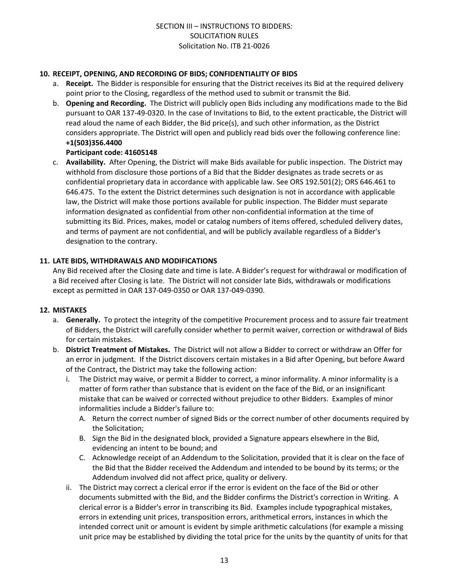#### **10. RECEIPT, OPENING, AND RECORDING OF BIDS; CONFIDENTIALITY OF BIDS**

- a. **Receipt.** The Bidder is responsible for ensuring that the District receives its Bid at the required delivery point prior to the Closing, regardless of the method used to submit or transmit the Bid.
- b. **Opening and Recording.** The District will publicly open Bids including any modifications made to the Bid pursuant to OAR 137-49-0320. In the case of Invitations to Bid, to the extent practicable, the District will read aloud the name of each Bidder, the Bid price(s), and such other information, as the District considers appropriate. The District will open and publicly read bids over the following conference line: **+1(503)356.4400**

#### **Participant code: 41605148**

c. **Availability.** After Opening, the District will make Bids available for public inspection. The District may withhold from disclosure those portions of a Bid that the Bidder designates as trade secrets or as confidential proprietary data in accordance with applicable law. See ORS 192.501(2); ORS 646.461 to 646.475. To the extent the District determines such designation is not in accordance with applicable law, the District will make those portions available for public inspection. The Bidder must separate information designated as confidential from other non-confidential information at the time of submitting its Bid. Prices, makes, model or catalog numbers of items offered, scheduled delivery dates, and terms of payment are not confidential, and will be publicly available regardless of a Bidder's designation to the contrary.

#### **11. LATE BIDS, WITHDRAWALS AND MODIFICATIONS**

Any Bid received after the Closing date and time is late. A Bidder's request for withdrawal or modification of a Bid received after Closing is late. The District will not consider late Bids, withdrawals or modifications except as permitted in OAR 137-049-0350 or OAR 137-049-0390.

#### **12. MISTAKES**

- a. **Generally.** To protect the integrity of the competitive Procurement process and to assure fair treatment of Bidders, the District will carefully consider whether to permit waiver, correction or withdrawal of Bids for certain mistakes.
- b. **District Treatment of Mistakes.** The District will not allow a Bidder to correct or withdraw an Offer for an error in judgment. If the District discovers certain mistakes in a Bid after Opening, but before Award of the Contract, the District may take the following action:
	- i. The District may waive, or permit a Bidder to correct, a minor informality. A minor informality is a matter of form rather than substance that is evident on the face of the Bid, or an insignificant mistake that can be waived or corrected without prejudice to other Bidders. Examples of minor informalities include a Bidder's failure to:
		- A. Return the correct number of signed Bids or the correct number of other documents required by the Solicitation;
		- B. Sign the Bid in the designated block, provided a Signature appears elsewhere in the Bid, evidencing an intent to be bound; and
		- C. Acknowledge receipt of an Addendum to the Solicitation, provided that it is clear on the face of the Bid that the Bidder received the Addendum and intended to be bound by its terms; or the Addendum involved did not affect price, quality or delivery.
	- ii. The District may correct a clerical error if the error is evident on the face of the Bid or other documents submitted with the Bid, and the Bidder confirms the District's correction in Writing. A clerical error is a Bidder's error in transcribing its Bid. Examples include typographical mistakes, errors in extending unit prices, transposition errors, arithmetical errors, instances in which the intended correct unit or amount is evident by simple arithmetic calculations (for example a missing unit price may be established by dividing the total price for the units by the quantity of units for that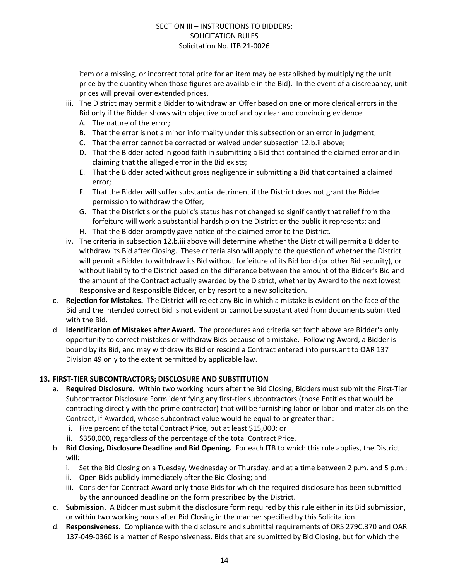item or a missing, or incorrect total price for an item may be established by multiplying the unit price by the quantity when those figures are available in the Bid). In the event of a discrepancy, unit prices will prevail over extended prices.

- iii. The District may permit a Bidder to withdraw an Offer based on one or more clerical errors in the Bid only if the Bidder shows with objective proof and by clear and convincing evidence:
	- A. The nature of the error;
	- B. That the error is not a minor informality under this subsection or an error in judgment;
	- C. That the error cannot be corrected or waived under subsection 12.b.ii above;
	- D. That the Bidder acted in good faith in submitting a Bid that contained the claimed error and in claiming that the alleged error in the Bid exists;
	- E. That the Bidder acted without gross negligence in submitting a Bid that contained a claimed error;
	- F. That the Bidder will suffer substantial detriment if the District does not grant the Bidder permission to withdraw the Offer;
	- G. That the District's or the public's status has not changed so significantly that relief from the forfeiture will work a substantial hardship on the District or the public it represents; and
	- H. That the Bidder promptly gave notice of the claimed error to the District.
- iv. The criteria in subsection 12.b.iii above will determine whether the District will permit a Bidder to withdraw its Bid after Closing. These criteria also will apply to the question of whether the District will permit a Bidder to withdraw its Bid without forfeiture of its Bid bond (or other Bid security), or without liability to the District based on the difference between the amount of the Bidder's Bid and the amount of the Contract actually awarded by the District, whether by Award to the next lowest Responsive and Responsible Bidder, or by resort to a new solicitation.
- c. **Rejection for Mistakes.** The District will reject any Bid in which a mistake is evident on the face of the Bid and the intended correct Bid is not evident or cannot be substantiated from documents submitted with the Bid.
- d. **Identification of Mistakes after Award.** The procedures and criteria set forth above are Bidder's only opportunity to correct mistakes or withdraw Bids because of a mistake. Following Award, a Bidder is bound by its Bid, and may withdraw its Bid or rescind a Contract entered into pursuant to OAR 137 Division 49 only to the extent permitted by applicable law.

#### **13. FIRST-TIER SUBCONTRACTORS; DISCLOSURE AND SUBSTITUTION**

- a. **Required Disclosure.** Within two working hours after the Bid Closing, Bidders must submit the First-Tier Subcontractor Disclosure Form identifying any first-tier subcontractors (those Entities that would be contracting directly with the prime contractor) that will be furnishing labor or labor and materials on the Contract, if Awarded, whose subcontract value would be equal to or greater than:
	- i. Five percent of the total Contract Price, but at least \$15,000; or
	- ii. \$350,000, regardless of the percentage of the total Contract Price.
- b. **Bid Closing, Disclosure Deadline and Bid Opening.** For each ITB to which this rule applies, the District will:
	- i. Set the Bid Closing on a Tuesday, Wednesday or Thursday, and at a time between 2 p.m. and 5 p.m.;
	- ii. Open Bids publicly immediately after the Bid Closing; and
	- iii. Consider for Contract Award only those Bids for which the required disclosure has been submitted by the announced deadline on the form prescribed by the District.
- c. **Submission.** A Bidder must submit the disclosure form required by this rule either in its Bid submission, or within two working hours after Bid Closing in the manner specified by this Solicitation.
- d. **Responsiveness.** Compliance with the disclosure and submittal requirements of ORS 279C.370 and OAR 137-049-0360 is a matter of Responsiveness. Bids that are submitted by Bid Closing, but for which the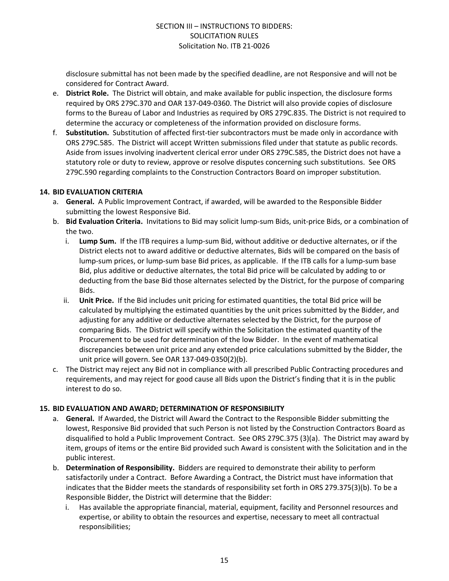disclosure submittal has not been made by the specified deadline, are not Responsive and will not be considered for Contract Award.

- e. **District Role.** The District will obtain, and make available for public inspection, the disclosure forms required by ORS 279C.370 and OAR 137-049-0360. The District will also provide copies of disclosure forms to the Bureau of Labor and Industries as required by ORS 279C.835. The District is not required to determine the accuracy or completeness of the information provided on disclosure forms.
- f. **Substitution.** Substitution of affected first-tier subcontractors must be made only in accordance with ORS 279C.585. The District will accept Written submissions filed under that statute as public records. Aside from issues involving inadvertent clerical error under ORS 279C.585, the District does not have a statutory role or duty to review, approve or resolve disputes concerning such substitutions. See ORS 279C.590 regarding complaints to the Construction Contractors Board on improper substitution.

#### **14. BID EVALUATION CRITERIA**

- a. **General.** A Public Improvement Contract, if awarded, will be awarded to the Responsible Bidder submitting the lowest Responsive Bid.
- b. **Bid Evaluation Criteria.** Invitations to Bid may solicit lump-sum Bids, unit-price Bids, or a combination of the two.
	- i. **Lump Sum.** If the ITB requires a lump-sum Bid, without additive or deductive alternates, or if the District elects not to award additive or deductive alternates, Bids will be compared on the basis of lump-sum prices, or lump-sum base Bid prices, as applicable. If the ITB calls for a lump-sum base Bid, plus additive or deductive alternates, the total Bid price will be calculated by adding to or deducting from the base Bid those alternates selected by the District, for the purpose of comparing Bids.
	- ii. **Unit Price.** If the Bid includes unit pricing for estimated quantities, the total Bid price will be calculated by multiplying the estimated quantities by the unit prices submitted by the Bidder, and adjusting for any additive or deductive alternates selected by the District, for the purpose of comparing Bids. The District will specify within the Solicitation the estimated quantity of the Procurement to be used for determination of the low Bidder. In the event of mathematical discrepancies between unit price and any extended price calculations submitted by the Bidder, the unit price will govern. See OAR 137-049-0350(2)(b).
- c. The District may reject any Bid not in compliance with all prescribed Public Contracting procedures and requirements, and may reject for good cause all Bids upon the District's finding that it is in the public interest to do so.

#### **15. BID EVALUATION AND AWARD; DETERMINATION OF RESPONSIBILITY**

- a. **General.** If Awarded, the District will Award the Contract to the Responsible Bidder submitting the lowest, Responsive Bid provided that such Person is not listed by the Construction Contractors Board as disqualified to hold a Public Improvement Contract. See ORS 279C.375 (3)(a). The District may award by item, groups of items or the entire Bid provided such Award is consistent with the Solicitation and in the public interest.
- b. **Determination of Responsibility.** Bidders are required to demonstrate their ability to perform satisfactorily under a Contract. Before Awarding a Contract, the District must have information that indicates that the Bidder meets the standards of responsibility set forth in ORS 279.375(3)(b). To be a Responsible Bidder, the District will determine that the Bidder:
	- i. Has available the appropriate financial, material, equipment, facility and Personnel resources and expertise, or ability to obtain the resources and expertise, necessary to meet all contractual responsibilities;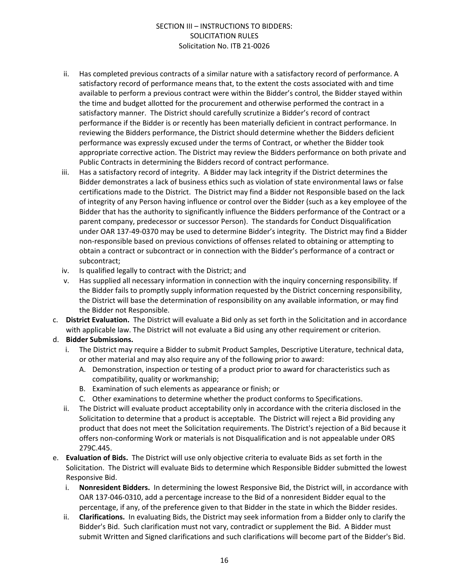- ii. Has completed previous contracts of a similar nature with a satisfactory record of performance. A satisfactory record of performance means that, to the extent the costs associated with and time available to perform a previous contract were within the Bidder's control, the Bidder stayed within the time and budget allotted for the procurement and otherwise performed the contract in a satisfactory manner. The District should carefully scrutinize a Bidder's record of contract performance if the Bidder is or recently has been materially deficient in contract performance. In reviewing the Bidders performance, the District should determine whether the Bidders deficient performance was expressly excused under the terms of Contract, or whether the Bidder took appropriate corrective action. The District may review the Bidders performance on both private and Public Contracts in determining the Bidders record of contract performance.
- iii. Has a satisfactory record of integrity. A Bidder may lack integrity if the District determines the Bidder demonstrates a lack of business ethics such as violation of state environmental laws or false certifications made to the District. The District may find a Bidder not Responsible based on the lack of integrity of any Person having influence or control over the Bidder (such as a key employee of the Bidder that has the authority to significantly influence the Bidders performance of the Contract or a parent company, predecessor or successor Person). The standards for Conduct Disqualification under OAR 137-49-0370 may be used to determine Bidder's integrity. The District may find a Bidder non-responsible based on previous convictions of offenses related to obtaining or attempting to obtain a contract or subcontract or in connection with the Bidder's performance of a contract or subcontract;
- iv. Is qualified legally to contract with the District; and
- v. Has supplied all necessary information in connection with the inquiry concerning responsibility. If the Bidder fails to promptly supply information requested by the District concerning responsibility, the District will base the determination of responsibility on any available information, or may find the Bidder not Responsible.
- c. **District Evaluation.** The District will evaluate a Bid only as set forth in the Solicitation and in accordance with applicable law. The District will not evaluate a Bid using any other requirement or criterion.

#### d. **Bidder Submissions.**

- i. The District may require a Bidder to submit Product Samples, Descriptive Literature, technical data, or other material and may also require any of the following prior to award:
	- A. Demonstration, inspection or testing of a product prior to award for characteristics such as compatibility, quality or workmanship;
	- B. Examination of such elements as appearance or finish; or
	- C. Other examinations to determine whether the product conforms to Specifications.
- ii. The District will evaluate product acceptability only in accordance with the criteria disclosed in the Solicitation to determine that a product is acceptable. The District will reject a Bid providing any product that does not meet the Solicitation requirements. The District's rejection of a Bid because it offers non-conforming Work or materials is not Disqualification and is not appealable under ORS 279C.445.
- e. **Evaluation of Bids.** The District will use only objective criteria to evaluate Bids as set forth in the Solicitation. The District will evaluate Bids to determine which Responsible Bidder submitted the lowest Responsive Bid.
	- i. **Nonresident Bidders.** In determining the lowest Responsive Bid, the District will, in accordance with OAR 137-046-0310, add a percentage increase to the Bid of a nonresident Bidder equal to the percentage, if any, of the preference given to that Bidder in the state in which the Bidder resides.
	- ii. **Clarifications.** In evaluating Bids, the District may seek information from a Bidder only to clarify the Bidder's Bid. Such clarification must not vary, contradict or supplement the Bid. A Bidder must submit Written and Signed clarifications and such clarifications will become part of the Bidder's Bid.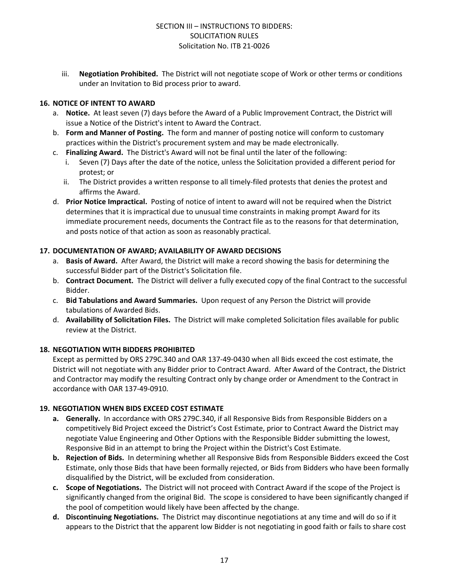iii. **Negotiation Prohibited.** The District will not negotiate scope of Work or other terms or conditions under an Invitation to Bid process prior to award.

#### **16. NOTICE OF INTENT TO AWARD**

- a. **Notice.** At least seven (7) days before the Award of a Public Improvement Contract, the District will issue a Notice of the District's intent to Award the Contract.
- b. **Form and Manner of Posting.** The form and manner of posting notice will conform to customary practices within the District's procurement system and may be made electronically.
- c. **Finalizing Award.** The District's Award will not be final until the later of the following:
	- Seven (7) Days after the date of the notice, unless the Solicitation provided a different period for protest; or
	- ii. The District provides a written response to all timely-filed protests that denies the protest and affirms the Award.
- d. **Prior Notice Impractical.** Posting of notice of intent to award will not be required when the District determines that it is impractical due to unusual time constraints in making prompt Award for its immediate procurement needs, documents the Contract file as to the reasons for that determination, and posts notice of that action as soon as reasonably practical.

#### **17. DOCUMENTATION OF AWARD; AVAILABILITY OF AWARD DECISIONS**

- a. **Basis of Award.** After Award, the District will make a record showing the basis for determining the successful Bidder part of the District's Solicitation file.
- b. **Contract Document.** The District will deliver a fully executed copy of the final Contract to the successful Bidder.
- c. **Bid Tabulations and Award Summaries.** Upon request of any Person the District will provide tabulations of Awarded Bids.
- d. **Availability of Solicitation Files.** The District will make completed Solicitation files available for public review at the District.

#### **18. NEGOTIATION WITH BIDDERS PROHIBITED**

Except as permitted by ORS 279C.340 and OAR 137-49-0430 when all Bids exceed the cost estimate, the District will not negotiate with any Bidder prior to Contract Award. After Award of the Contract, the District and Contractor may modify the resulting Contract only by change order or Amendment to the Contract in accordance with OAR 137-49-0910.

#### **19. NEGOTIATION WHEN BIDS EXCEED COST ESTIMATE**

- **a. Generally.** In accordance with ORS 279C.340, if all Responsive Bids from Responsible Bidders on a competitively Bid Project exceed the District's Cost Estimate, prior to Contract Award the District may negotiate Value Engineering and Other Options with the Responsible Bidder submitting the lowest, Responsive Bid in an attempt to bring the Project within the District's Cost Estimate.
- **b. Rejection of Bids.** In determining whether all Responsive Bids from Responsible Bidders exceed the Cost Estimate, only those Bids that have been formally rejected, or Bids from Bidders who have been formally disqualified by the District, will be excluded from consideration.
- **c. Scope of Negotiations.** The District will not proceed with Contract Award if the scope of the Project is significantly changed from the original Bid. The scope is considered to have been significantly changed if the pool of competition would likely have been affected by the change.
- **d. Discontinuing Negotiations.** The District may discontinue negotiations at any time and will do so if it appears to the District that the apparent low Bidder is not negotiating in good faith or fails to share cost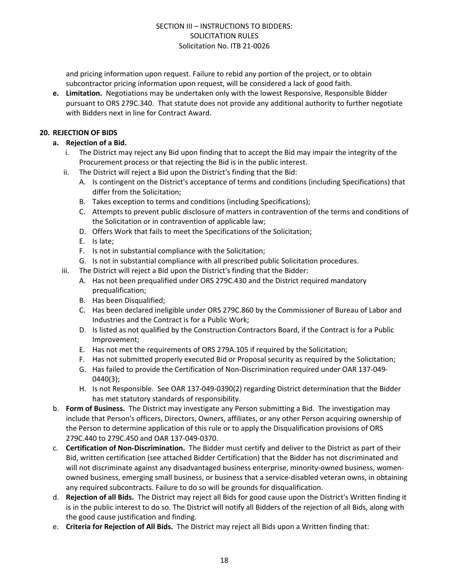and pricing information upon request. Failure to rebid any portion of the project, or to obtain subcontractor pricing information upon request, will be considered a lack of good faith.

**e. Limitation.** Negotiations may be undertaken only with the lowest Responsive, Responsible Bidder pursuant to ORS 279C.340. That statute does not provide any additional authority to further negotiate with Bidders next in line for Contract Award.

#### **20. REJECTION OF BIDS**

- **a. Rejection of a Bid.**
	- i. The District may reject any Bid upon finding that to accept the Bid may impair the integrity of the Procurement process or that rejecting the Bid is in the public interest.
	- ii. The District will reject a Bid upon the District's finding that the Bid:
		- A. Is contingent on the District's acceptance of terms and conditions (including Specifications) that differ from the Solicitation;
		- B. Takes exception to terms and conditions (including Specifications);
		- C. Attempts to prevent public disclosure of matters in contravention of the terms and conditions of the Solicitation or in contravention of applicable law;
		- D. Offers Work that fails to meet the Specifications of the Solicitation;
		- E. Is late;
		- F. Is not in substantial compliance with the Solicitation;
		- G. Is not in substantial compliance with all prescribed public Solicitation procedures.
	- iii. The District will reject a Bid upon the District's finding that the Bidder:
		- A. Has not been prequalified under ORS 279C.430 and the District required mandatory prequalification;
		- B. Has been Disqualified;
		- C. Has been declared ineligible under ORS 279C.860 by the Commissioner of Bureau of Labor and Industries and the Contract is for a Public Work;
		- D. Is listed as not qualified by the Construction Contractors Board, if the Contract is for a Public Improvement;
		- E. Has not met the requirements of ORS 279A.105 if required by the Solicitation;
		- F. Has not submitted properly executed Bid or Proposal security as required by the Solicitation;
		- G. Has failed to provide the Certification of Non-Discrimination required under OAR 137-049- 0440(3);
		- H. Is not Responsible. See OAR 137-049-0390(2) regarding District determination that the Bidder has met statutory standards of responsibility.
- b. **Form of Business.** The District may investigate any Person submitting a Bid. The investigation may include that Person's officers, Directors, Owners, affiliates, or any other Person acquiring ownership of the Person to determine application of this rule or to apply the Disqualification provisions of ORS 279C.440 to 279C.450 and OAR 137-049-0370.
- c. **Certification of Non-Discrimination.** The Bidder must certify and deliver to the District as part of their Bid, written certification (see attached Bidder Certification) that the Bidder has not discriminated and will not discriminate against any disadvantaged business enterprise, minority-owned business, womenowned business, emerging small business, or business that a service-disabled veteran owns, in obtaining any required subcontracts. Failure to do so will be grounds for disqualification.
- d. **Rejection of all Bids.** The District may reject all Bids for good cause upon the District's Written finding it is in the public interest to do so. The District will notify all Bidders of the rejection of all Bids, along with the good cause justification and finding.
- e. **Criteria for Rejection of All Bids.** The District may reject all Bids upon a Written finding that: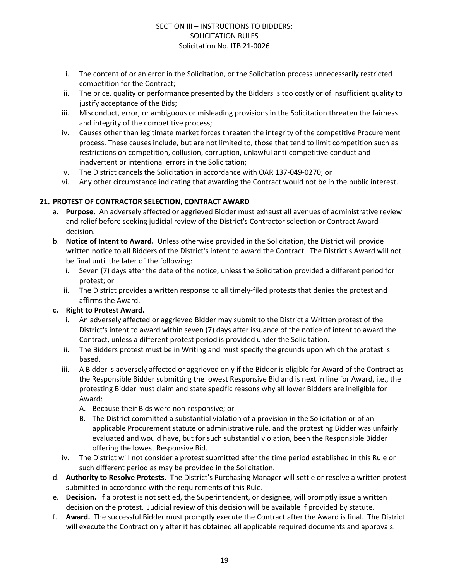- i. The content of or an error in the Solicitation, or the Solicitation process unnecessarily restricted competition for the Contract;
- ii. The price, quality or performance presented by the Bidders is too costly or of insufficient quality to justify acceptance of the Bids;
- iii. Misconduct, error, or ambiguous or misleading provisions in the Solicitation threaten the fairness and integrity of the competitive process;
- iv. Causes other than legitimate market forces threaten the integrity of the competitive Procurement process. These causes include, but are not limited to, those that tend to limit competition such as restrictions on competition, collusion, corruption, unlawful anti-competitive conduct and inadvertent or intentional errors in the Solicitation;
- v. The District cancels the Solicitation in accordance with OAR 137-049-0270; or
- vi. Any other circumstance indicating that awarding the Contract would not be in the public interest.

#### **21. PROTEST OF CONTRACTOR SELECTION, CONTRACT AWARD**

- a. **Purpose.** An adversely affected or aggrieved Bidder must exhaust all avenues of administrative review and relief before seeking judicial review of the District's Contractor selection or Contract Award decision.
- b. **Notice of Intent to Award.** Unless otherwise provided in the Solicitation, the District will provide written notice to all Bidders of the District's intent to award the Contract. The District's Award will not be final until the later of the following:
	- i. Seven (7) days after the date of the notice, unless the Solicitation provided a different period for protest; or
	- ii. The District provides a written response to all timely-filed protests that denies the protest and affirms the Award.

#### **c. Right to Protest Award.**

- i. An adversely affected or aggrieved Bidder may submit to the District a Written protest of the District's intent to award within seven (7) days after issuance of the notice of intent to award the Contract, unless a different protest period is provided under the Solicitation.
- ii. The Bidders protest must be in Writing and must specify the grounds upon which the protest is based.
- iii. A Bidder is adversely affected or aggrieved only if the Bidder is eligible for Award of the Contract as the Responsible Bidder submitting the lowest Responsive Bid and is next in line for Award, i.e., the protesting Bidder must claim and state specific reasons why all lower Bidders are ineligible for Award:
	- A. Because their Bids were non-responsive; or
	- B. The District committed a substantial violation of a provision in the Solicitation or of an applicable Procurement statute or administrative rule, and the protesting Bidder was unfairly evaluated and would have, but for such substantial violation, been the Responsible Bidder offering the lowest Responsive Bid.
- iv. The District will not consider a protest submitted after the time period established in this Rule or such different period as may be provided in the Solicitation.
- d. **Authority to Resolve Protests.** The District's Purchasing Manager will settle or resolve a written protest submitted in accordance with the requirements of this Rule.
- e. **Decision.** If a protest is not settled, the Superintendent, or designee, will promptly issue a written decision on the protest. Judicial review of this decision will be available if provided by statute.
- f. **Award.** The successful Bidder must promptly execute the Contract after the Award is final. The District will execute the Contract only after it has obtained all applicable required documents and approvals.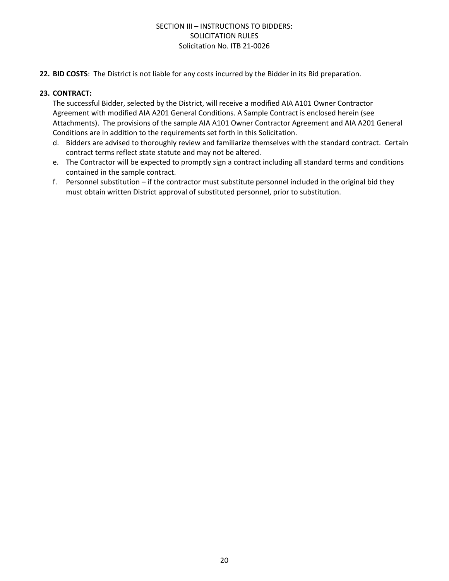**22. BID COSTS**: The District is not liable for any costs incurred by the Bidder in its Bid preparation.

#### **23. CONTRACT:**

The successful Bidder, selected by the District, will receive a modified AIA A101 Owner Contractor Agreement with modified AIA A201 General Conditions. A Sample Contract is enclosed herein (see Attachments). The provisions of the sample AIA A101 Owner Contractor Agreement and AIA A201 General Conditions are in addition to the requirements set forth in this Solicitation.

- d. Bidders are advised to thoroughly review and familiarize themselves with the standard contract. Certain contract terms reflect state statute and may not be altered.
- e. The Contractor will be expected to promptly sign a contract including all standard terms and conditions contained in the sample contract.
- f. Personnel substitution if the contractor must substitute personnel included in the original bid they must obtain written District approval of substituted personnel, prior to substitution.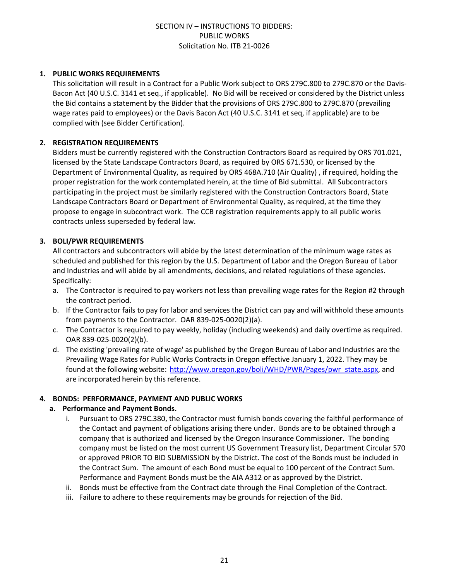#### **1. PUBLIC WORKS REQUIREMENTS**

This solicitation will result in a Contract for a Public Work subject to ORS 279C.800 to 279C.870 or the Davis-Bacon Act (40 U.S.C. 3141 et seq., if applicable). No Bid will be received or considered by the District unless the Bid contains a statement by the Bidder that the provisions of ORS 279C.800 to 279C.870 (prevailing wage rates paid to employees) or the Davis Bacon Act (40 U.S.C. 3141 et seq, if applicable) are to be complied with (see Bidder Certification).

#### **2. REGISTRATION REQUIREMENTS**

Bidders must be currently registered with the Construction Contractors Board as required by ORS 701.021, licensed by the State Landscape Contractors Board, as required by ORS 671.530, or licensed by the Department of Environmental Quality, as required by ORS 468A.710 (Air Quality) , if required, holding the proper registration for the work contemplated herein, at the time of Bid submittal. All Subcontractors participating in the project must be similarly registered with the Construction Contractors Board, State Landscape Contractors Board or Department of Environmental Quality, as required, at the time they propose to engage in subcontract work. The CCB registration requirements apply to all public works contracts unless superseded by federal law.

#### **3. BOLI/PWR REQUIREMENTS**

All contractors and subcontractors will abide by the latest determination of the minimum wage rates as scheduled and published for this region by the U.S. Department of Labor and the Oregon Bureau of Labor and Industries and will abide by all amendments, decisions, and related regulations of these agencies. Specifically:

- a. The Contractor is required to pay workers not less than prevailing wage rates for the Region #2 through the contract period.
- b. If the Contractor fails to pay for labor and services the District can pay and will withhold these amounts from payments to the Contractor. OAR 839-025-0020(2)(a).
- c. The Contractor is required to pay weekly, holiday (including weekends) and daily overtime as required. OAR 839-025-0020(2)(b).
- d. The existing 'prevailing rate of wage' as published by the Oregon Bureau of Labor and Industries are the Prevailing Wage Rates for Public Works Contracts in Oregon effective January 1, 2022. They may be found at the following website: [http://www.oregon.gov/boli/WHD/PWR/Pages/pwr\\_state.aspx,](http://www.oregon.gov/boli/WHD/PWR/Pages/pwr_state.aspx) and are incorporated herein by this reference.

#### **4. BONDS: PERFORMANCE, PAYMENT AND PUBLIC WORKS**

#### **a. Performance and Payment Bonds.**

- i. Pursuant to ORS 279C.380, the Contractor must furnish bonds covering the faithful performance of the Contact and payment of obligations arising there under. Bonds are to be obtained through a company that is authorized and licensed by the Oregon Insurance Commissioner. The bonding company must be listed on the most current US Government Treasury list, Department Circular 570 or approved PRIOR TO BID SUBMISSION by the District. The cost of the Bonds must be included in the Contract Sum. The amount of each Bond must be equal to 100 percent of the Contract Sum. Performance and Payment Bonds must be the AIA A312 or as approved by the District.
- ii. Bonds must be effective from the Contract date through the Final Completion of the Contract.
- iii. Failure to adhere to these requirements may be grounds for rejection of the Bid.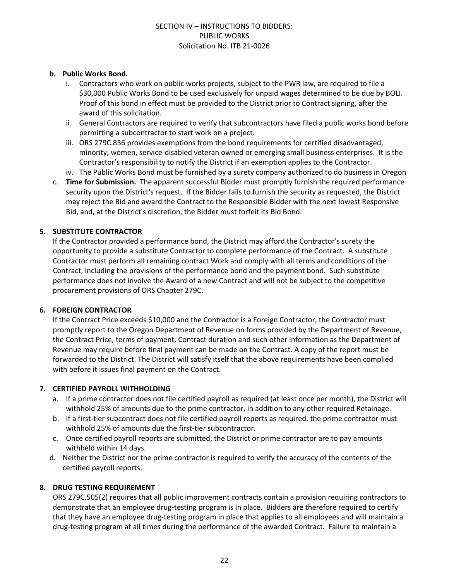#### **b. Public Works Bond.**

- i. Contractors who work on public works projects, subject to the PWR law, are required to file a \$30,000 Public Works Bond to be used exclusively for unpaid wages determined to be due by BOLI. Proof of this bond in effect must be provided to the District prior to Contract signing, after the award of this solicitation.
- ii. General Contractors are required to verify that subcontractors have filed a public works bond before permitting a subcontractor to start work on a project.
- iii. ORS 279C.836 provides exemptions from the bond requirements for certified disadvantaged, minority, women, service-disabled veteran owned or emerging small business enterprises. It is the Contractor's responsibility to notify the District if an exemption applies to the Contractor.
- iv. The Public Works Bond must be furnished by a surety company authorized to do business in Oregon
- c. **Time for Submission.** The apparent successful Bidder must promptly furnish the required performance security upon the District's request. If the Bidder fails to furnish the security as requested, the District may reject the Bid and award the Contract to the Responsible Bidder with the next lowest Responsive Bid, and, at the District's discretion, the Bidder must forfeit its Bid Bond.

#### **5. SUBSTITUTE CONTRACTOR**

If the Contractor provided a performance bond, the District may afford the Contractor's surety the opportunity to provide a substitute Contractor to complete performance of the Contract. A substitute Contractor must perform all remaining contract Work and comply with all terms and conditions of the Contract, including the provisions of the performance bond and the payment bond. Such substitute performance does not involve the Award of a new Contract and will not be subject to the competitive procurement provisions of ORS Chapter 279C.

#### **6. FOREIGN CONTRACTOR**

If the Contract Price exceeds \$10,000 and the Contractor is a Foreign Contractor, the Contractor must promptly report to the Oregon Department of Revenue on forms provided by the Department of Revenue, the Contract Price, terms of payment, Contract duration and such other information as the Department of Revenue may require before final payment can be made on the Contract. A copy of the report must be forwarded to the District. The District will satisfy itself that the above requirements have been complied with before it issues final payment on the Contract.

#### **7. CERTIFIED PAYROLL WITHHOLDING**

- a. If a prime contractor does not file certified payroll as required (at least once per month), the District will withhold 25% of amounts due to the prime contractor, in addition to any other required Retainage.
- b. If a first-tier subcontract does not file certified payroll reports as required, the prime contractor must withhold 25% of amounts due the first-tier subcontractor.
- c. Once certified payroll reports are submitted, the District or prime contractor are to pay amounts withheld within 14 days.
- d. Neither the District nor the prime contractor is required to verify the accuracy of the contents of the certified payroll reports.

#### **8. DRUG TESTING REQUIREMENT**

ORS 279C.505(2) requires that all public improvement contracts contain a provision requiring contractors to demonstrate that an employee drug-testing program is in place. Bidders are therefore required to certify that they have an employee drug-testing program in place that applies to all employees and will maintain a drug-testing program at all times during the performance of the awarded Contract. Failure to maintain a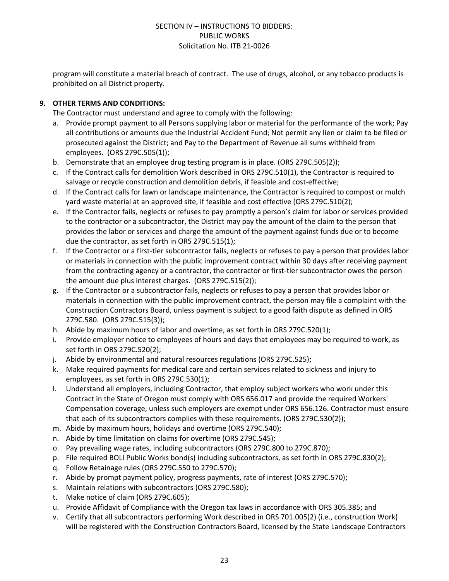program will constitute a material breach of contract. The use of drugs, alcohol, or any tobacco products is prohibited on all District property.

#### **9. OTHER TERMS AND CONDITIONS:**

The Contractor must understand and agree to comply with the following:

- a. Provide prompt payment to all Persons supplying labor or material for the performance of the work; Pay all contributions or amounts due the Industrial Accident Fund; Not permit any lien or claim to be filed or prosecuted against the District; and Pay to the Department of Revenue all sums withheld from employees. (ORS 279C.505(1));
- b. Demonstrate that an employee drug testing program is in place. (ORS 279C.505(2));
- c. If the Contract calls for demolition Work described in ORS 279C.510(1), the Contractor is required to salvage or recycle construction and demolition debris, if feasible and cost-effective;
- d. If the Contract calls for lawn or landscape maintenance, the Contractor is required to compost or mulch yard waste material at an approved site, if feasible and cost effective (ORS 279C.510(2);
- e. If the Contractor fails, neglects or refuses to pay promptly a person's claim for labor or services provided to the contractor or a subcontractor, the District may pay the amount of the claim to the person that provides the labor or services and charge the amount of the payment against funds due or to become due the contractor, as set forth in ORS 279C.515(1);
- f. If the Contractor or a first-tier subcontractor fails, neglects or refuses to pay a person that provides labor or materials in connection with the public improvement contract within 30 days after receiving payment from the contracting agency or a contractor, the contractor or first-tier subcontractor owes the person the amount due plus interest charges. (ORS 279C.515(2));
- g. If the Contractor or a subcontractor fails, neglects or refuses to pay a person that provides labor or materials in connection with the public improvement contract, the person may file a complaint with the Construction Contractors Board, unless payment is subject to a good faith dispute as defined in ORS 279C.580. (ORS 279C.515(3));
- h. Abide by maximum hours of labor and overtime, as set forth in ORS 279C.520(1);
- i. Provide employer notice to employees of hours and days that employees may be required to work, as set forth in ORS 279C.520(2);
- j. Abide by environmental and natural resources regulations (ORS 279C.525);
- k. Make required payments for medical care and certain services related to sickness and injury to employees, as set forth in ORS 279C.530(1);
- l. Understand all employers, including Contractor, that employ subject workers who work under this Contract in the State of Oregon must comply with ORS 656.017 and provide the required Workers' Compensation coverage, unless such employers are exempt under ORS 656.126. Contractor must ensure that each of its subcontractors complies with these requirements. (ORS 279C.530(2));
- m. Abide by maximum hours, holidays and overtime (ORS 279C.540);
- n. Abide by time limitation on claims for overtime (ORS 279C.545);
- o. Pay prevailing wage rates, including subcontractors (ORS 279C.800 to 279C.870);
- p. File required BOLI Public Works bond(s) including subcontractors, as set forth in ORS 279C.830(2);
- q. Follow Retainage rules (ORS 279C.550 to 279C.570);
- r. Abide by prompt payment policy, progress payments, rate of interest (ORS 279C.570);
- s. Maintain relations with subcontractors (ORS 279C.580);
- t. Make notice of claim (ORS 279C.605);
- u. Provide Affidavit of Compliance with the Oregon tax laws in accordance with ORS 305.385; and
- v. Certify that all subcontractors performing Work described in ORS 701.005(2) (i.e., construction Work) will be registered with the Construction Contractors Board, licensed by the State Landscape Contractors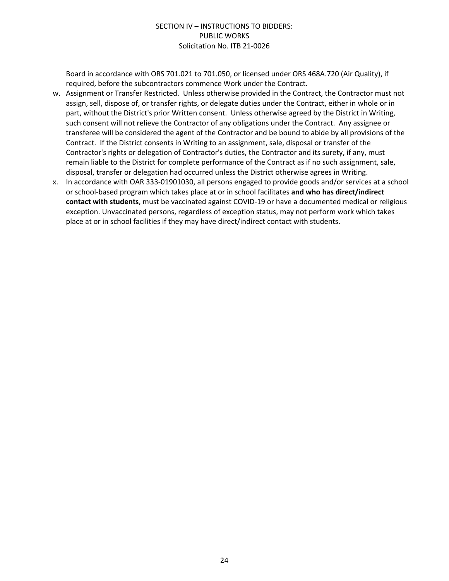Board in accordance with ORS 701.021 to 701.050, or licensed under ORS 468A.720 (Air Quality), if required, before the subcontractors commence Work under the Contract.

- w. Assignment or Transfer Restricted. Unless otherwise provided in the Contract, the Contractor must not assign, sell, dispose of, or transfer rights, or delegate duties under the Contract, either in whole or in part, without the District's prior Written consent. Unless otherwise agreed by the District in Writing, such consent will not relieve the Contractor of any obligations under the Contract. Any assignee or transferee will be considered the agent of the Contractor and be bound to abide by all provisions of the Contract. If the District consents in Writing to an assignment, sale, disposal or transfer of the Contractor's rights or delegation of Contractor's duties, the Contractor and its surety, if any, must remain liable to the District for complete performance of the Contract as if no such assignment, sale, disposal, transfer or delegation had occurred unless the District otherwise agrees in Writing.
- x. In accordance with OAR 333-01901030, all persons engaged to provide goods and/or services at a school or school-based program which takes place at or in school facilitates **and who has direct/indirect contact with students**, must be vaccinated against COVID-19 or have a documented medical or religious exception. Unvaccinated persons, regardless of exception status, may not perform work which takes place at or in school facilities if they may have direct/indirect contact with students.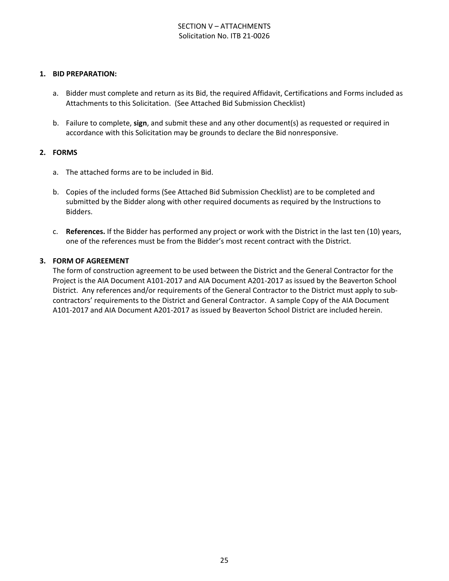#### SECTION V – ATTACHMENTS Solicitation No. ITB 21-0026

#### **1. BID PREPARATION:**

- a. Bidder must complete and return as its Bid, the required Affidavit, Certifications and Forms included as Attachments to this Solicitation. (See Attached Bid Submission Checklist)
- b. Failure to complete, **sign**, and submit these and any other document(s) as requested or required in accordance with this Solicitation may be grounds to declare the Bid nonresponsive.

#### **2. FORMS**

- a. The attached forms are to be included in Bid.
- b. Copies of the included forms (See Attached Bid Submission Checklist) are to be completed and submitted by the Bidder along with other required documents as required by the Instructions to Bidders.
- c. **References.** If the Bidder has performed any project or work with the District in the last ten (10) years, one of the references must be from the Bidder's most recent contract with the District.

#### **3. FORM OF AGREEMENT**

The form of construction agreement to be used between the District and the General Contractor for the Project is the AIA Document A101-2017 and AIA Document A201-2017 as issued by the Beaverton School District. Any references and/or requirements of the General Contractor to the District must apply to subcontractors' requirements to the District and General Contractor. A sample Copy of the AIA Document A101-2017 and AIA Document A201-2017 as issued by Beaverton School District are included herein.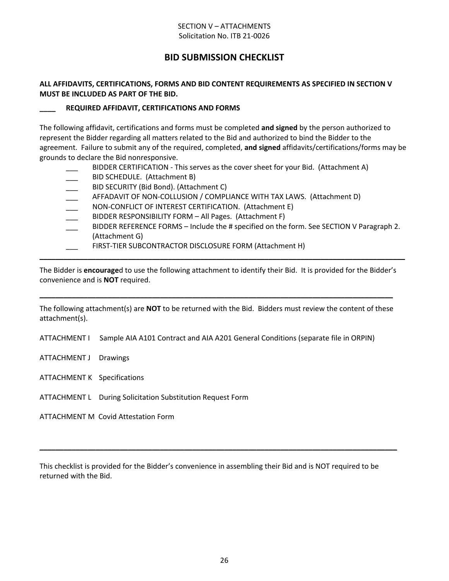#### SECTION V – ATTACHMENTS Solicitation No. ITB 21-0026

## **BID SUBMISSION CHECKLIST**

#### **ALL AFFIDAVITS, CERTIFICATIONS, FORMS AND BID CONTENT REQUIREMENTS AS SPECIFIED IN SECTION V MUST BE INCLUDED AS PART OF THE BID.**

#### **\_\_\_\_ REQUIRED AFFIDAVIT, CERTIFICATIONS AND FORMS**

The following affidavit, certifications and forms must be completed **and signed** by the person authorized to represent the Bidder regarding all matters related to the Bid and authorized to bind the Bidder to the agreement. Failure to submit any of the required, completed, **and signed** affidavits/certifications/forms may be grounds to declare the Bid nonresponsive.

- BIDDER CERTIFICATION This serves as the cover sheet for your Bid. (Attachment A)
- BID SCHEDULE. (Attachment B)
- BID SECURITY (Bid Bond). (Attachment C)
- AFFADAVIT OF NON-COLLUSION / COMPLIANCE WITH TAX LAWS. (Attachment D)
- NON-CONFLICT OF INTEREST CERTIFICATION. (Attachment E)
- BIDDER RESPONSIBILITY FORM All Pages. (Attachment F)
- BIDDER REFERENCE FORMS Include the # specified on the form. See SECTION V Paragraph 2. (Attachment G)
- FIRST-TIER SUBCONTRACTOR DISCLOSURE FORM (Attachment H)

The Bidder is **encourage**d to use the following attachment to identify their Bid. It is provided for the Bidder's convenience and is **NOT** required.

**\_\_\_\_\_\_\_\_\_\_\_\_\_\_\_\_\_\_\_\_\_\_\_\_\_\_\_\_\_\_\_\_\_\_\_\_\_\_\_\_\_\_\_\_\_\_\_\_\_\_\_\_\_\_\_\_\_\_\_\_\_\_\_\_\_\_\_\_\_\_\_\_\_\_\_\_\_\_\_\_\_\_\_\_\_\_\_\_\_\_\_**

The following attachment(s) are **NOT** to be returned with the Bid. Bidders must review the content of these attachment(s).

**\_\_\_\_\_\_\_\_\_\_\_\_\_\_\_\_\_\_\_\_\_\_\_\_\_\_\_\_\_\_\_\_\_\_\_\_\_\_\_\_\_\_\_\_\_\_\_\_\_\_\_\_\_\_\_\_\_\_\_\_\_\_\_\_\_\_\_\_\_\_\_\_\_\_\_\_\_\_\_\_\_\_\_\_\_\_\_\_**

ATTACHMENT I Sample AIA A101 Contract and AIA A201 General Conditions (separate file in ORPIN)

- ATTACHMENT J Drawings
- ATTACHMENT K Specifications
- ATTACHMENT L During Solicitation Substitution Request Form

ATTACHMENT M Covid Attestation Form

This checklist is provided for the Bidder's convenience in assembling their Bid and is NOT required to be returned with the Bid.

**\_\_\_\_\_\_\_\_\_\_\_\_\_\_\_\_\_\_\_\_\_\_\_\_\_\_\_\_\_\_\_\_\_\_\_\_\_\_\_\_\_\_\_\_\_\_\_\_\_\_\_\_\_\_\_\_\_\_\_\_\_\_\_\_\_\_\_\_\_\_\_\_\_\_\_\_\_\_\_\_\_\_\_\_\_\_\_\_\_**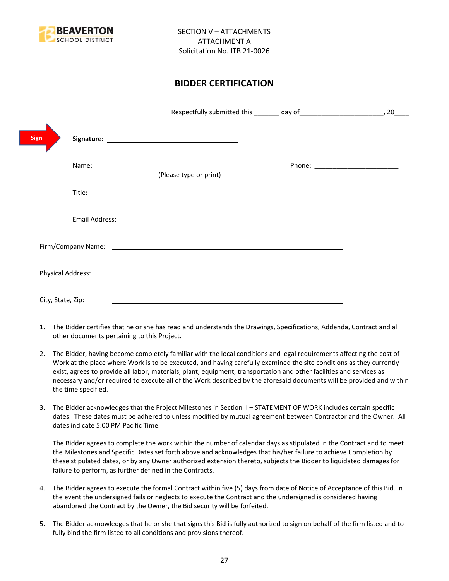

## **BIDDER CERTIFICATION**

|                          |                                                                                                                                                                                                                                | 20 |
|--------------------------|--------------------------------------------------------------------------------------------------------------------------------------------------------------------------------------------------------------------------------|----|
| <b>Sign</b>              |                                                                                                                                                                                                                                |    |
| Name:                    | (Please type or print)                                                                                                                                                                                                         |    |
| Title:                   |                                                                                                                                                                                                                                |    |
|                          |                                                                                                                                                                                                                                |    |
|                          | Firm/Company Name: contract the contract of the contract of the contract of the contract of the contract of the contract of the contract of the contract of the contract of the contract of the contract of the contract of th |    |
| <b>Physical Address:</b> |                                                                                                                                                                                                                                |    |
| City, State, Zip:        |                                                                                                                                                                                                                                |    |

- 1. The Bidder certifies that he or she has read and understands the Drawings, Specifications, Addenda, Contract and all other documents pertaining to this Project.
- 2. The Bidder, having become completely familiar with the local conditions and legal requirements affecting the cost of Work at the place where Work is to be executed, and having carefully examined the site conditions as they currently exist, agrees to provide all labor, materials, plant, equipment, transportation and other facilities and services as necessary and/or required to execute all of the Work described by the aforesaid documents will be provided and within the time specified.
- 3. The Bidder acknowledges that the Project Milestones in Section II STATEMENT OF WORK includes certain specific dates. These dates must be adhered to unless modified by mutual agreement between Contractor and the Owner. All dates indicate 5:00 PM Pacific Time.

The Bidder agrees to complete the work within the number of calendar days as stipulated in the Contract and to meet the Milestones and Specific Dates set forth above and acknowledges that his/her failure to achieve Completion by these stipulated dates, or by any Owner authorized extension thereto, subjects the Bidder to liquidated damages for failure to perform, as further defined in the Contracts.

- 4. The Bidder agrees to execute the formal Contract within five (5) days from date of Notice of Acceptance of this Bid. In the event the undersigned fails or neglects to execute the Contract and the undersigned is considered having abandoned the Contract by the Owner, the Bid security will be forfeited.
- 5. The Bidder acknowledges that he or she that signs this Bid is fully authorized to sign on behalf of the firm listed and to fully bind the firm listed to all conditions and provisions thereof.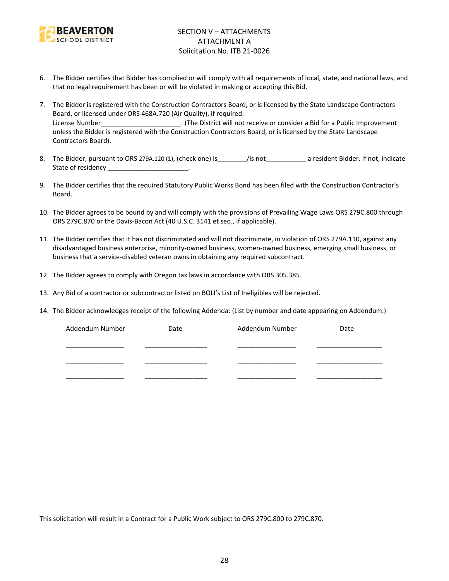

- 6. The Bidder certifies that Bidder has complied or will comply with all requirements of local, state, and national laws, and that no legal requirement has been or will be violated in making or accepting this Bid.
- 7. The Bidder is registered with the Construction Contractors Board, or is licensed by the State Landscape Contractors Board, or licensed under ORS 468A.720 (Air Quality), if required. License Number\_\_\_\_\_\_\_\_\_\_\_\_\_\_\_\_\_\_\_\_\_\_\_\_. (The District will not receive or consider a Bid for a Public Improvement unless the Bidder is registered with the Construction Contractors Board, or is licensed by the State Landscape Contractors Board).
- 8. The Bidder, pursuant to ORS 279A.120 (1), (check one) is figure is figure to a resident Bidder. If not, indicate State of residency \_\_\_\_\_\_\_\_\_\_\_\_\_\_\_\_\_\_\_\_\_\_\_\_.
- 9. The Bidder certifies that the required Statutory Public Works Bond has been filed with the Construction Contractor's Board.
- 10. The Bidder agrees to be bound by and will comply with the provisions of Prevailing Wage Laws ORS 279C.800 through ORS 279C.870 or the Davis-Bacon Act (40 U.S.C. 3141 et seq., if applicable).
- 11. The Bidder certifies that it has not discriminated and will not discriminate, in violation of ORS 279A.110, against any disadvantaged business enterprise, minority-owned business, women-owned business, emerging small business, or business that a service-disabled veteran owns in obtaining any required subcontract.
- 12. The Bidder agrees to comply with Oregon tax laws in accordance with ORS 305.385.
- 13. Any Bid of a contractor or subcontractor listed on BOLI's List of Ineligibles will be rejected.
- 14. The Bidder acknowledges receipt of the following Addenda: (List by number and date appearing on Addendum.)

| Addendum Number | Date | Addendum Number | Date |
|-----------------|------|-----------------|------|
|                 |      |                 |      |
|                 |      |                 |      |
|                 |      |                 |      |
|                 |      |                 |      |
|                 |      |                 |      |

This solicitation will result in a Contract for a Public Work subject to ORS 279C.800 to 279C.870.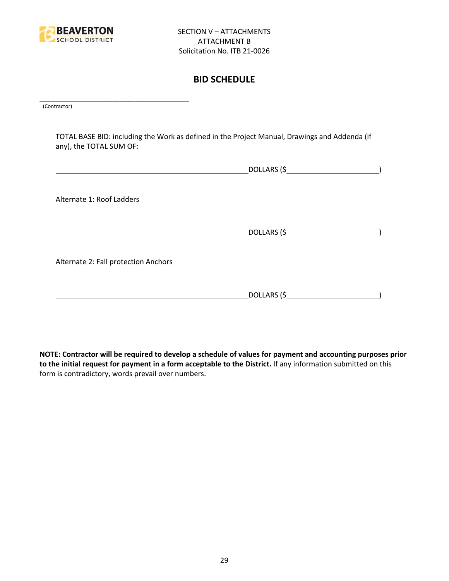

## **BID SCHEDULE**

\_\_\_\_\_\_\_\_\_\_\_\_\_\_\_\_\_\_\_\_\_\_\_\_\_\_\_\_\_\_\_\_\_\_\_\_\_\_\_\_\_ (Contractor)

TOTAL BASE BID: including the Work as defined in the Project Manual, Drawings and Addenda (if any), the TOTAL SUM OF:

| Alternate 1: Roof Ladders            |  |
|--------------------------------------|--|
|                                      |  |
| Alternate 2: Fall protection Anchors |  |
|                                      |  |

**NOTE: Contractor will be required to develop a schedule of values for payment and accounting purposes prior to the initial request for payment in a form acceptable to the District.** If any information submitted on this form is contradictory, words prevail over numbers.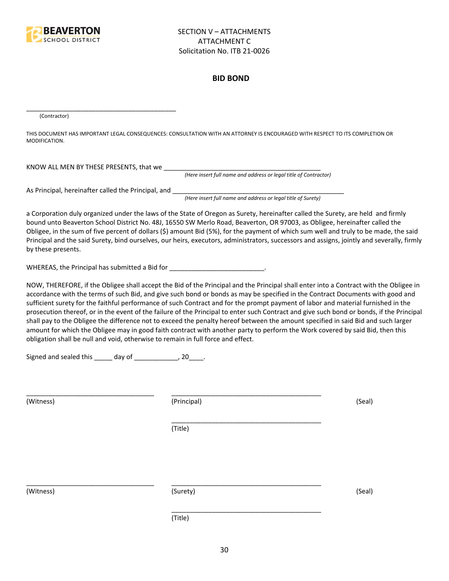

#### **BID BOND**

(Contractor)

THIS DOCUMENT HAS IMPORTANT LEGAL CONSEQUENCES: CONSULTATION WITH AN ATTORNEY IS ENCOURAGED WITH RESPECT TO ITS COMPLETION OR MODIFICATION.

KNOW ALL MEN BY THESE PRESENTS, that we \_\_\_\_\_\_\_\_\_\_\_\_\_\_\_\_\_\_\_\_\_\_\_\_\_\_\_\_\_\_\_\_\_\_\_\_\_\_\_\_\_\_\_

*(Here insert full name and address or legal title of Contractor)*

As Principal, hereinafter called the Principal, and \_\_\_\_\_\_\_\_\_\_\_\_\_\_\_\_\_\_\_\_\_\_\_\_\_\_\_\_

\_\_\_\_\_\_\_\_\_\_\_\_\_\_\_\_\_\_\_\_\_\_\_\_\_\_\_\_\_\_\_\_\_\_\_\_\_\_\_\_\_

*(Here insert full name and address or legal title of Surety)*

a Corporation duly organized under the laws of the State of Oregon as Surety, hereinafter called the Surety, are held and firmly bound unto Beaverton School District No. 48J, 16550 SW Merlo Road, Beaverton, OR 97003, as Obligee, hereinafter called the Obligee, in the sum of five percent of dollars (\$) amount Bid (5%), for the payment of which sum well and truly to be made, the said Principal and the said Surety, bind ourselves, our heirs, executors, administrators, successors and assigns, jointly and severally, firmly by these presents.

WHEREAS, the Principal has submitted a Bid for \_\_\_\_\_\_\_\_\_\_\_\_\_\_\_\_\_\_\_\_\_\_\_\_\_\_\_\_\_.

NOW, THEREFORE, if the Obligee shall accept the Bid of the Principal and the Principal shall enter into a Contract with the Obligee in accordance with the terms of such Bid, and give such bond or bonds as may be specified in the Contract Documents with good and sufficient surety for the faithful performance of such Contract and for the prompt payment of labor and material furnished in the prosecution thereof, or in the event of the failure of the Principal to enter such Contract and give such bond or bonds, if the Principal shall pay to the Obligee the difference not to exceed the penalty hereof between the amount specified in said Bid and such larger amount for which the Obligee may in good faith contract with another party to perform the Work covered by said Bid, then this obligation shall be null and void, otherwise to remain in full force and effect.

\_\_\_\_\_\_\_\_\_\_\_\_\_\_\_\_\_\_\_\_\_\_\_\_\_\_\_\_\_\_\_\_\_\_\_\_\_\_\_\_\_

\_\_\_\_\_\_\_\_\_\_\_\_\_\_\_\_\_\_\_\_\_\_\_\_\_\_\_\_\_\_\_\_\_\_\_\_\_\_\_\_\_

Signed and sealed this \_\_\_\_\_ day of \_\_\_\_\_\_\_\_\_\_\_\_, 20\_\_\_\_.

(Witness) (Principal) (Seal)

(Title)

\_\_\_\_\_\_\_\_\_\_\_\_\_\_\_\_\_\_\_\_\_\_\_\_\_\_\_\_\_\_\_\_\_\_\_ \_\_\_\_\_\_\_\_\_\_\_\_\_\_\_\_\_\_\_\_\_\_\_\_\_\_\_\_\_\_\_\_\_\_\_\_\_\_\_\_\_

(Witness) (Surety) (Seal)

\_\_\_\_\_\_\_\_\_\_\_\_\_\_\_\_\_\_\_\_\_\_\_\_\_\_\_\_\_\_\_\_\_\_\_ \_\_\_\_\_\_\_\_\_\_\_\_\_\_\_\_\_\_\_\_\_\_\_\_\_\_\_\_\_\_\_\_\_\_\_\_\_\_\_\_\_

(Title)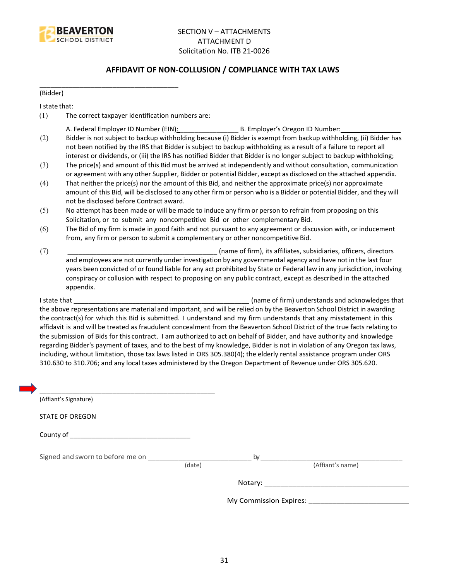

#### **AFFIDAVIT OF NON-COLLUSION / COMPLIANCE WITH TAX LAWS**

(Bidder)

I state that:

(1) The correct taxpayer identification numbers are:

\_\_\_\_\_\_\_\_\_\_\_\_\_\_\_\_\_\_\_\_\_\_\_\_\_\_\_\_\_\_\_\_\_\_\_\_\_\_

- A. Federal Employer ID Number (EIN): \_\_\_\_\_\_\_\_\_\_\_\_\_\_\_\_ B. Employer's Oregon ID Number: \_\_\_\_\_\_\_\_\_\_\_\_\_\_\_\_
- (2) Bidder is not subject to backup withholding because (i) Bidder is exempt from backup withholding, (ii) Bidder has not been notified by the IRS that Bidder is subject to backup withholding as a result of a failure to report all interest or dividends, or (iii) the IRS has notified Bidder that Bidder is no longer subject to backup withholding;
- (3) The price(s) and amount of this Bid must be arrived at independently and without consultation, communication or agreement with any other Supplier, Bidder or potential Bidder, except as disclosed on the attached appendix.
- (4) That neither the price(s) nor the amount of this Bid, and neither the approximate price(s) nor approximate amount of this Bid, will be disclosed to any other firm or person who is a Bidder or potential Bidder, and they will not be disclosed before Contract award.
- (5) No attempt has been made or will be made to induce any firm or person to refrain from proposing on this Solicitation, or to submit any noncompetitive Bid or other complementary Bid.
- (6) The Bid of my firm is made in good faith and not pursuant to any agreement or discussion with, or inducement from, any firm or person to submit a complementary or other noncompetitive Bid.
- (7) \_\_\_\_\_\_\_\_\_\_\_\_\_\_\_\_\_\_\_\_\_\_\_\_\_\_\_\_\_\_\_\_\_\_\_\_\_\_\_\_\_ (name of firm), its affiliates, subsidiaries, officers, directors and employees are not currently under investigation by any governmental agency and have not in the last four years been convicted of or found liable for any act prohibited by State or Federal law in any jurisdiction, involving conspiracy or collusion with respect to proposing on any public contract, except as described in the attached appendix.

I state that **I state that**  $\blacksquare$  (name of firm) understands and acknowledges that the above representations are material and important, and will be relied on by the Beaverton School District in awarding the contract(s) for which this Bid is submitted. I understand and my firm understands that any misstatement in this affidavit is and will be treated as fraudulent concealment from the Beaverton School District of the true facts relating to the submission of Bids for this contract. I am authorized to act on behalf of Bidder, and have authority and knowledge regarding Bidder's payment of taxes, and to the best of my knowledge, Bidder is not in violation of any Oregon tax laws, including, without limitation, those tax laws listed in ORS 305.380(4); the elderly rental assistance program under ORS 310.630 to 310.706; and any local taxes administered by the Oregon Department of Revenue under ORS 305.620.

| (Affiant's Signature)                                                                                                                                                                                                          |        |                  |
|--------------------------------------------------------------------------------------------------------------------------------------------------------------------------------------------------------------------------------|--------|------------------|
| <b>STATE OF OREGON</b>                                                                                                                                                                                                         |        |                  |
|                                                                                                                                                                                                                                |        |                  |
| Signed and sworn to before me on which is a state of the by state of the by the state of the state of the state of the state of the state of the state of the state of the state of the state of the state of the state of the | (date) | (Affiant's name) |
|                                                                                                                                                                                                                                |        |                  |
|                                                                                                                                                                                                                                |        |                  |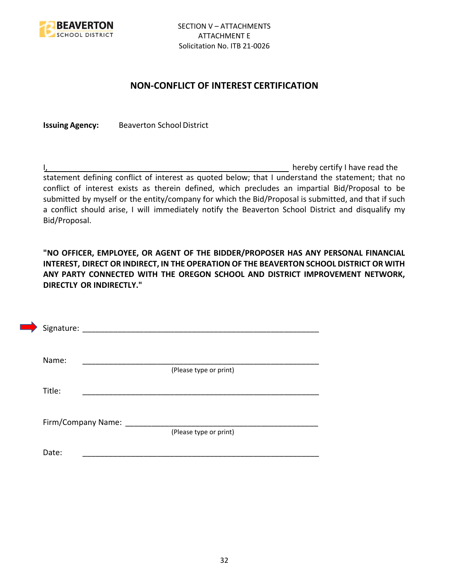

## **NON-CONFLICT OF INTEREST CERTIFICATION**

**Issuing Agency:** Beaverton School District

I, the contract of the contract of the contract of the contract of the hereby certify I have read the statement defining conflict of interest as quoted below; that I understand the statement; that no conflict of interest exists as therein defined, which precludes an impartial Bid/Proposal to be submitted by myself or the entity/company for which the Bid/Proposal is submitted, and that if such a conflict should arise, I will immediately notify the Beaverton School District and disqualify my Bid/Proposal.

**"NO OFFICER, EMPLOYEE, OR AGENT OF THE BIDDER/PROPOSER HAS ANY PERSONAL FINANCIAL INTEREST, DIRECT OR INDIRECT, IN THE OPERATION OF THE BEAVERTON SCHOOL DISTRICT OR WITH ANY PARTY CONNECTED WITH THE OREGON SCHOOL AND DISTRICT IMPROVEMENT NETWORK, DIRECTLY OR INDIRECTLY."**

| Signature: |                    |                        |  |
|------------|--------------------|------------------------|--|
| Name:      |                    |                        |  |
|            |                    | (Please type or print) |  |
| Title:     |                    |                        |  |
|            |                    |                        |  |
|            | Firm/Company Name: |                        |  |
|            |                    | (Please type or print) |  |
| Date:      |                    |                        |  |
|            |                    |                        |  |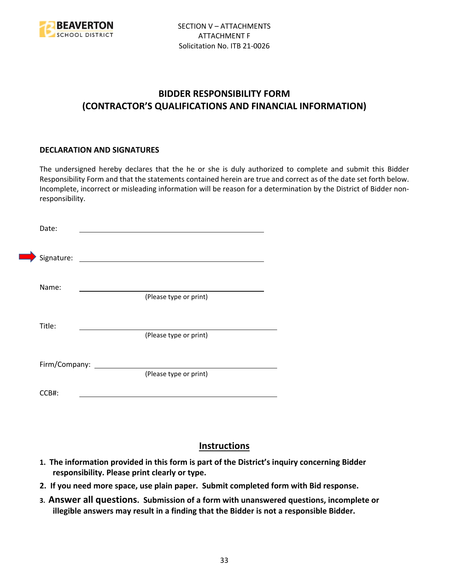

## **BIDDER RESPONSIBILITY FORM (CONTRACTOR'S QUALIFICATIONS AND FINANCIAL INFORMATION)**

#### **DECLARATION AND SIGNATURES**

The undersigned hereby declares that the he or she is duly authorized to complete and submit this Bidder Responsibility Form and that the statements contained herein are true and correct as of the date set forth below. Incomplete, incorrect or misleading information will be reason for a determination by the District of Bidder nonresponsibility.

| Date:      |                      |                                             |  |
|------------|----------------------|---------------------------------------------|--|
| Signature: |                      | <u> 1980 - Jan Samuel Barbara, martin d</u> |  |
| Name:      |                      | (Please type or print)                      |  |
| Title:     |                      |                                             |  |
|            |                      | (Please type or print)                      |  |
|            | Firm/Company: ______ | (Please type or print)                      |  |
| CCB#:      |                      |                                             |  |

## **Instructions**

- **1. The information provided in this form is part of the District's inquiry concerning Bidder responsibility. Please print clearly or type.**
- **2. If you need more space, use plain paper. Submit completed form with Bid response.**
- **3. Answer all questions. Submission of a form with unanswered questions, incomplete or illegible answers may result in a finding that the Bidder is not a responsible Bidder.**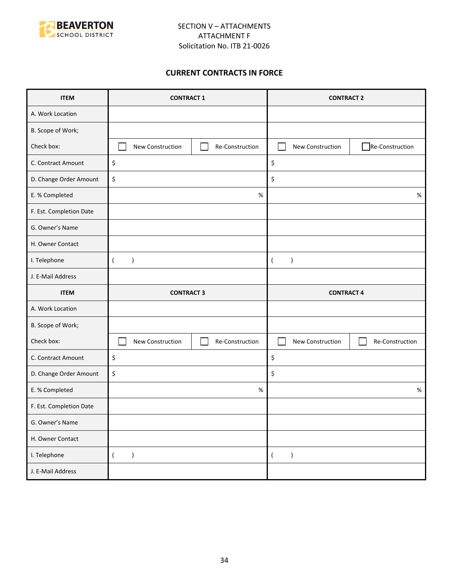

#### **CURRENT CONTRACTS IN FORCE**

| <b>ITEM</b>             | <b>CONTRACT 1</b>                   | <b>CONTRACT 2</b>                   |  |
|-------------------------|-------------------------------------|-------------------------------------|--|
| A. Work Location        |                                     |                                     |  |
| B. Scope of Work;       |                                     |                                     |  |
| Check box:              | New Construction<br>Re-Construction | Re-Construction<br>New Construction |  |
| C. Contract Amount      | \$                                  | \$                                  |  |
| D. Change Order Amount  | \$                                  | \$                                  |  |
| E. % Completed          | $\%$                                | $\%$                                |  |
| F. Est. Completion Date |                                     |                                     |  |
| G. Owner's Name         |                                     |                                     |  |
| H. Owner Contact        |                                     |                                     |  |
| I. Telephone            | $\overline{(}$<br>$\mathcal{E}$     | $\lambda$<br>$\overline{ }$         |  |
| J. E-Mail Address       |                                     |                                     |  |
|                         |                                     |                                     |  |
| <b>ITEM</b>             | <b>CONTRACT 3</b>                   | <b>CONTRACT 4</b>                   |  |
| A. Work Location        |                                     |                                     |  |
| B. Scope of Work;       |                                     |                                     |  |
| Check box:              | New Construction<br>Re-Construction | New Construction<br>Re-Construction |  |
| C. Contract Amount      | \$                                  | \$                                  |  |
| D. Change Order Amount  | \$                                  | \$                                  |  |
| E. % Completed          | %                                   | $\%$                                |  |
| F. Est. Completion Date |                                     |                                     |  |
| G. Owner's Name         |                                     |                                     |  |
| H. Owner Contact        |                                     |                                     |  |
| I. Telephone            | $\overline{(\ }$<br>$\lambda$       | $\lambda$<br>$\left($               |  |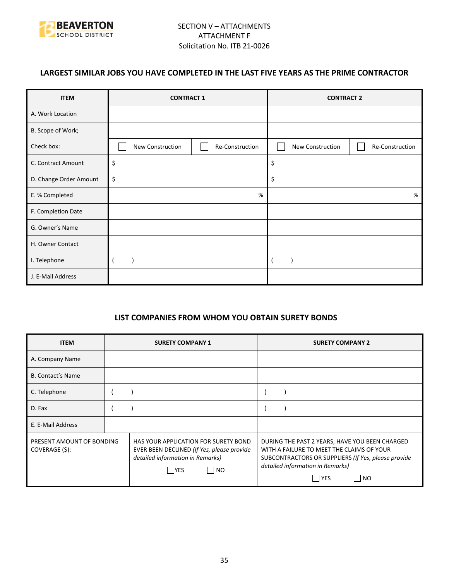

## **LARGEST SIMILAR JOBS YOU HAVE COMPLETED IN THE LAST FIVE YEARS AS THE PRIME CONTRACTOR**

| <b>ITEM</b>            | <b>CONTRACT 1</b> |                 | <b>CONTRACT 2</b> |                 |
|------------------------|-------------------|-----------------|-------------------|-----------------|
| A. Work Location       |                   |                 |                   |                 |
| B. Scope of Work;      |                   |                 |                   |                 |
| Check box:             | New Construction  | Re-Construction | New Construction  | Re-Construction |
| C. Contract Amount     | \$                |                 | \$                |                 |
| D. Change Order Amount | \$                |                 | \$                |                 |
| E. % Completed         | %                 |                 |                   | %               |
| F. Completion Date     |                   |                 |                   |                 |
| G. Owner's Name        |                   |                 |                   |                 |
| H. Owner Contact       |                   |                 |                   |                 |
| I. Telephone           |                   |                 |                   |                 |
| J. E-Mail Address      |                   |                 |                   |                 |

#### **LIST COMPANIES FROM WHOM YOU OBTAIN SURETY BONDS**

| <b>ITEM</b>                                 | <b>SURETY COMPANY 1</b>                                                                                                                | <b>SURETY COMPANY 2</b>                                                                                                                                                                                      |
|---------------------------------------------|----------------------------------------------------------------------------------------------------------------------------------------|--------------------------------------------------------------------------------------------------------------------------------------------------------------------------------------------------------------|
| A. Company Name                             |                                                                                                                                        |                                                                                                                                                                                                              |
| <b>B. Contact's Name</b>                    |                                                                                                                                        |                                                                                                                                                                                                              |
| C. Telephone                                |                                                                                                                                        |                                                                                                                                                                                                              |
| D. Fax                                      |                                                                                                                                        |                                                                                                                                                                                                              |
| E. E-Mail Address                           |                                                                                                                                        |                                                                                                                                                                                                              |
| PRESENT AMOUNT OF BONDING<br>COVERAGE (\$): | HAS YOUR APPLICATION FOR SURETY BOND<br>EVER BEEN DECLINED (If Yes, please provide<br>detailed information in Remarks)<br>  NO<br> YES | DURING THE PAST 2 YEARS, HAVE YOU BEEN CHARGED<br>WITH A FAILURE TO MEET THE CLAIMS OF YOUR<br>SUBCONTRACTORS OR SUPPLIERS (If Yes, please provide<br>detailed information in Remarks)<br>l YES<br><b>NO</b> |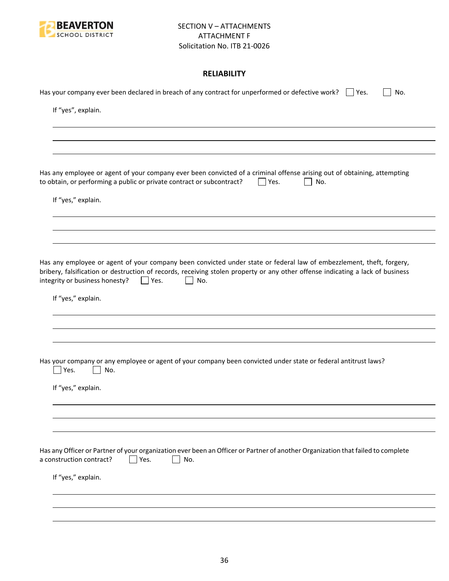

## **RELIABILITY**

| Has your company ever been declared in breach of any contract for unperformed or defective work? $\Box$ Yes.<br>No.                                                                                                                                                                                           |
|---------------------------------------------------------------------------------------------------------------------------------------------------------------------------------------------------------------------------------------------------------------------------------------------------------------|
| If "yes", explain.                                                                                                                                                                                                                                                                                            |
|                                                                                                                                                                                                                                                                                                               |
|                                                                                                                                                                                                                                                                                                               |
| Has any employee or agent of your company ever been convicted of a criminal offense arising out of obtaining, attempting<br>to obtain, or performing a public or private contract or subcontract?<br>Yes.<br>No.                                                                                              |
| If "yes," explain.                                                                                                                                                                                                                                                                                            |
|                                                                                                                                                                                                                                                                                                               |
|                                                                                                                                                                                                                                                                                                               |
| Has any employee or agent of your company been convicted under state or federal law of embezzlement, theft, forgery,<br>bribery, falsification or destruction of records, receiving stolen property or any other offense indicating a lack of business<br>integrity or business honesty?<br>$ $   Yes.<br>No. |
| If "yes," explain.                                                                                                                                                                                                                                                                                            |
|                                                                                                                                                                                                                                                                                                               |
|                                                                                                                                                                                                                                                                                                               |
| Has your company or any employee or agent of your company been convicted under state or federal antitrust laws?<br>Yes.<br>No.                                                                                                                                                                                |
| If "yes," explain.                                                                                                                                                                                                                                                                                            |
|                                                                                                                                                                                                                                                                                                               |
|                                                                                                                                                                                                                                                                                                               |
| Has any Officer or Partner of your organization ever been an Officer or Partner of another Organization that failed to complete<br>a construction contract?<br>Yes.<br>No.                                                                                                                                    |
| If "yes," explain.                                                                                                                                                                                                                                                                                            |
|                                                                                                                                                                                                                                                                                                               |
|                                                                                                                                                                                                                                                                                                               |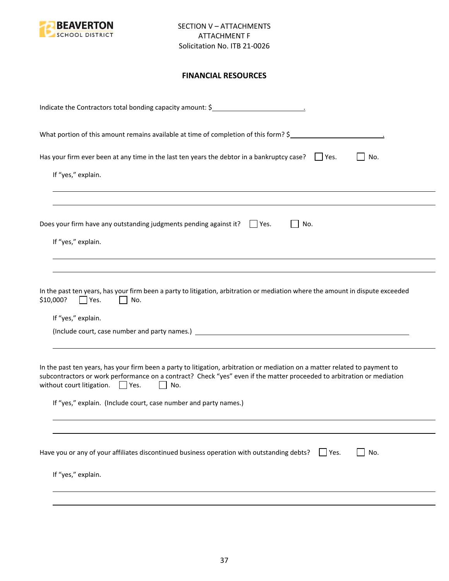

## **FINANCIAL RESOURCES**

| Indicate the Contractors total bonding capacity amount: \$                                                                                                                                                                                                                                                                                                                |
|---------------------------------------------------------------------------------------------------------------------------------------------------------------------------------------------------------------------------------------------------------------------------------------------------------------------------------------------------------------------------|
| What portion of this amount remains available at time of completion of this form? \$                                                                                                                                                                                                                                                                                      |
| Has your firm ever been at any time in the last ten years the debtor in a bankruptcy case? $\Box$ Yes.<br>No.<br>If "yes," explain.                                                                                                                                                                                                                                       |
| Does your firm have any outstanding judgments pending against it? $\Box$ Yes.<br>No.<br>If "yes," explain.                                                                                                                                                                                                                                                                |
| In the past ten years, has your firm been a party to litigation, arbitration or mediation where the amount in dispute exceeded<br>\$10,000?<br>$\blacksquare$ Yes.<br>No.<br>If "yes," explain.                                                                                                                                                                           |
| In the past ten years, has your firm been a party to litigation, arbitration or mediation on a matter related to payment to<br>subcontractors or work performance on a contract? Check "yes" even if the matter proceeded to arbitration or mediation<br>without court litigation. $\Box$ Yes.<br>No.<br>If "yes," explain. (Include court, case number and party names.) |
| Have you or any of your affiliates discontinued business operation with outstanding debts?<br>No.<br>Yes.<br>If "yes," explain.                                                                                                                                                                                                                                           |
|                                                                                                                                                                                                                                                                                                                                                                           |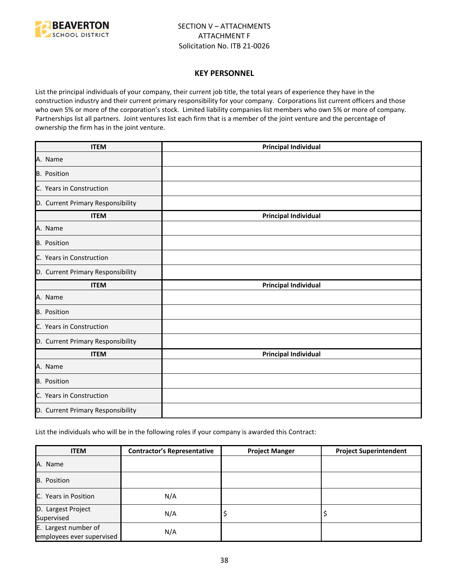

#### **KEY PERSONNEL**

List the principal individuals of your company, their current job title, the total years of experience they have in the construction industry and their current primary responsibility for your company. Corporations list current officers and those who own 5% or more of the corporation's stock. Limited liability companies list members who own 5% or more of company. Partnerships list all partners. Joint ventures list each firm that is a member of the joint venture and the percentage of ownership the firm has in the joint venture.

| <b>ITEM</b>                       | <b>Principal Individual</b> |
|-----------------------------------|-----------------------------|
| A. Name                           |                             |
| B. Position                       |                             |
| C. Years in Construction          |                             |
| D. Current Primary Responsibility |                             |
| <b>ITEM</b>                       | <b>Principal Individual</b> |
| A. Name                           |                             |
| <b>B.</b> Position                |                             |
| C. Years in Construction          |                             |
| D. Current Primary Responsibility |                             |
| <b>ITEM</b>                       | <b>Principal Individual</b> |
| A. Name                           |                             |
| <b>B.</b> Position                |                             |
| C. Years in Construction          |                             |
| D. Current Primary Responsibility |                             |
| <b>ITEM</b>                       | <b>Principal Individual</b> |
| A. Name                           |                             |
| B. Position                       |                             |
| C. Years in Construction          |                             |
| D. Current Primary Responsibility |                             |

List the individuals who will be in the following roles if your company is awarded this Contract:

| <b>ITEM</b>                                       | <b>Contractor's Representative</b> | <b>Project Manger</b> | <b>Project Superintendent</b> |
|---------------------------------------------------|------------------------------------|-----------------------|-------------------------------|
| A. Name                                           |                                    |                       |                               |
| B. Position                                       |                                    |                       |                               |
| C. Years in Position                              | N/A                                |                       |                               |
| D. Largest Project<br>Supervised                  | N/A                                | ₽                     |                               |
| E. Largest number of<br>employees ever supervised | N/A                                |                       |                               |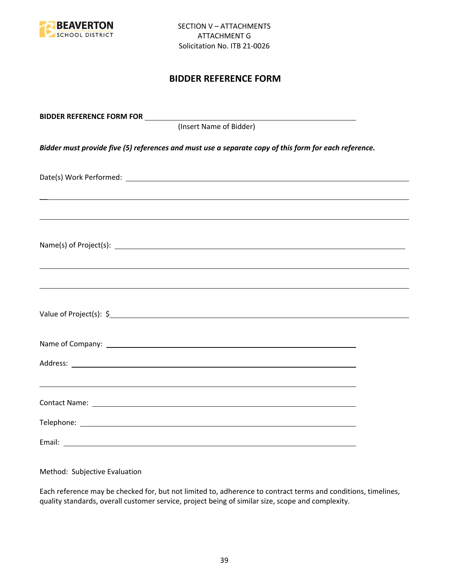

## **BIDDER REFERENCE FORM**

| (Insert Name of Bidder)                                                                               |  |
|-------------------------------------------------------------------------------------------------------|--|
| Bidder must provide five (5) references and must use a separate copy of this form for each reference. |  |
|                                                                                                       |  |
| ,我们也不会有什么。""我们的人,我们也不会有什么?""我们的人,我们也不会有什么?""我们的人,我们也不会有什么?""我们的人,我们也不会有什么?""我们的人                      |  |
|                                                                                                       |  |
| ,我们也不能会有一个人的事情。""我们的人,我们也不能会有一个人的人,我们也不能会有一个人的人,我们也不能会有一个人的人,我们也不能会有一个人的人,我们也不能会                      |  |
|                                                                                                       |  |
|                                                                                                       |  |
|                                                                                                       |  |
|                                                                                                       |  |
|                                                                                                       |  |
|                                                                                                       |  |

Method: Subjective Evaluation

Each reference may be checked for, but not limited to, adherence to contract terms and conditions, timelines, quality standards, overall customer service, project being of similar size, scope and complexity.